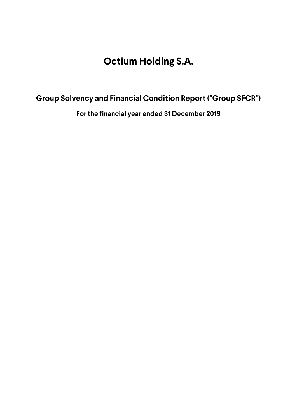# **Group Solvency and Financial Condition Report ("Group SFCR")**

**For the financial year ended 31 December 2019**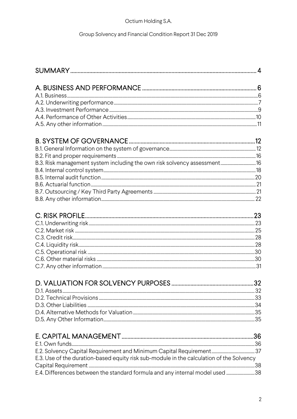# Group Solvency and Financial Condition Report 31 Dec 2019

| B.3. Risk management system including the own risk solvency assessment 16 |  |
|---------------------------------------------------------------------------|--|
|                                                                           |  |

| E.3. Use of the duration-based equity risk sub-module in the calculation of the Solvency |  |
|------------------------------------------------------------------------------------------|--|
|                                                                                          |  |
| E.4. Differences between the standard formula and any internal model used 38             |  |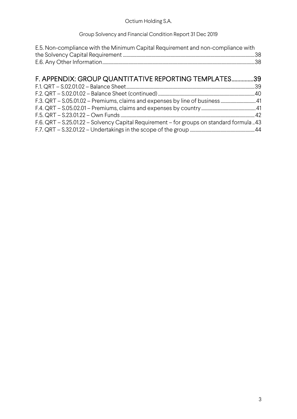## Group Solvency and Financial Condition Report 31 Dec 2019

| E.5. Non-compliance with the Minimum Capital Requirement and non-compliance with |  |
|----------------------------------------------------------------------------------|--|
|                                                                                  |  |
|                                                                                  |  |

# F. APPENDIX: GROUP QUANTITATIVE REPORTING TEMPLATES ...............39 F.1. QRT – S.02.01.02 – Balance Sheet ................................................................................................................. 39

|  | F.3. QRT - S.05.01.02 - Premiums, claims and expenses by line of business41              |  |
|--|------------------------------------------------------------------------------------------|--|
|  |                                                                                          |  |
|  |                                                                                          |  |
|  | F.6. QRT – S.25.01.22 – Solvency Capital Requirement – for groups on standard formula 43 |  |
|  |                                                                                          |  |
|  |                                                                                          |  |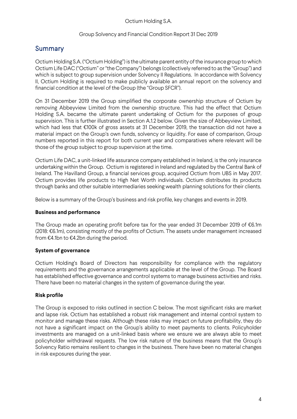# Summary

Octium Holding S.A. ("Octium Holding") is the ultimate parent entity of the insurance group to which Octium Life DAC ("Octium" or "the Company") belongs (collectively referred to as the "Group") and which is subject to group supervision under Solvency II Regulations. In accordance with Solvency II, Octium Holding is required to make publicly available an annual report on the solvency and financial condition at the level of the Group (the "Group SFCR").

On 31 December 2019 the Group simplified the corporate ownership structure of Octium by removing Abbeyview Limited from the ownership structure. This had the effect that Octium Holding S.A. became the ultimate parent undertaking of Octium for the purposes of group supervision. This is further illustrated in Section A.1.2 below. Given the size of Abbeyview Limited, which had less that €100k of gross assets at 31 December 2019, the transaction did not have a material impact on the Group's own funds, solvency or liquidity. For ease of comparison, Group numbers reported in this report for both current year and comparatives where relevant will be those of the group subject to group supervision at the time.

Octium Life DAC, a unit-linked life assurance company established in Ireland, is the only insurance undertaking within the Group. Octium is registered in Ireland and regulated by the Central Bank of Ireland. The Havilland Group, a financial services group, acquired Octium from UBS in May 2017. Octium provides life products to High Net Worth individuals. Octium distributes its products through banks and other suitable intermediaries seeking wealth planning solutions for their clients.

Below is a summary of the Group's business and risk profile, key changes and events in 2019.

## **Business and performance**

The Group made an operating profit before tax for the year ended 31 December 2019 of €6.1m (2018: €6.1m), consisting mostly of the profits of Octium. The assets under management increased from €4.1bn to €4.2bn during the period.

## **System of governance**

Octium Holding's Board of Directors has responsibility for compliance with the regulatory requirements and the governance arrangements applicable at the level of the Group. The Board has established effective governance and control systems to manage business activities and risks. There have been no material changes in the system of governance during the year.

## **Risk profile**

The Group is exposed to risks outlined in section C below. The most significant risks are market and lapse risk. Octium has established a robust risk management and internal control system to monitor and manage these risks. Although these risks may impact on future profitability, they do not have a significant impact on the Group's ability to meet payments to clients. Policyholder investments are managed on a unit-linked basis where we ensure we are always able to meet policyholder withdrawal requests. The low risk nature of the business means that the Group's Solvency Ratio remains resilient to changes in the business. There have been no material changes in risk exposures during the year.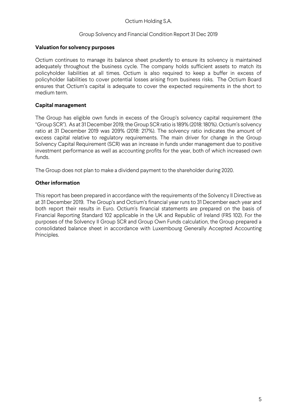#### Group Solvency and Financial Condition Report 31 Dec 2019

#### **Valuation for solvency purposes**

Octium continues to manage its balance sheet prudently to ensure its solvency is maintained adequately throughout the business cycle. The company holds sufficient assets to match its policyholder liabilities at all times. Octium is also required to keep a buffer in excess of policyholder liabilities to cover potential losses arising from business risks. The Octium Board ensures that Octium's capital is adequate to cover the expected requirements in the short to medium term.

#### **Capital management**

The Group has eligible own funds in excess of the Group's solvency capital requirement (the "Group SCR"). As at 31 December 2019, the Group SCR ratio is 189% (2018: 180%). Octium's solvency ratio at 31 December 2019 was 209% (2018: 217%). The solvency ratio indicates the amount of excess capital relative to regulatory requirements. The main driver for change in the Group Solvency Capital Requirement (SCR) was an increase in funds under management due to positive investment performance as well as accounting profits for the year, both of which increased own funds.

The Group does not plan to make a dividend payment to the shareholder during 2020.

#### **Other information**

This report has been prepared in accordance with the requirements of the Solvency II Directive as at 31 December 2019. The Group's and Octium's financial year runs to 31 December each year and both report their results in Euro. Octium's financial statements are prepared on the basis of Financial Reporting Standard 102 applicable in the UK and Republic of Ireland (FRS 102). For the purposes of the Solvency II Group SCR and Group Own Funds calculation, the Group prepared a consolidated balance sheet in accordance with Luxembourg Generally Accepted Accounting Principles.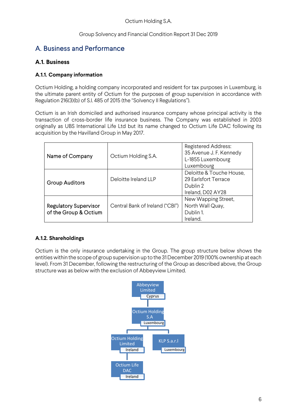# A. Business and Performance

# **A.1. Business**

## **A.1.1. Company information**

Octium Holding, a holding company incorporated and resident for tax purposes in Luxemburg, is the ultimate parent entity of Octium for the purposes of group supervision in accordance with Regulation 216(3)(b) of S.I. 485 of 2015 (the "Solvency II Regulations").

Octium is an Irish domiciled and authorised insurance company whose principal activity is the transaction of cross-border life insurance business. The Company was established in 2003 originally as UBS International Life Ltd but its name changed to Octium Life DAC following its acquisition by the Havilland Group in May 2017.

| Name of Company                                       | Octium Holding S.A.             | <b>Registered Address:</b><br>35 Avenue J. F. Kennedy<br>L-1855 Luxembourg<br>Luxembourg |
|-------------------------------------------------------|---------------------------------|------------------------------------------------------------------------------------------|
| <b>Group Auditors</b>                                 | Deloitte Ireland LLP            | Deloitte & Touche House,<br>29 Earlsfort Terrace<br>Dublin 2<br>Ireland, D02 AY28        |
| <b>Regulatory Supervisor</b><br>of the Group & Octium | Central Bank of Ireland ("CBI") | New Wapping Street,<br>North Wall Quay,<br>Dublin 1.<br>Ireland.                         |

## **A.1.2. Shareholdings**

Octium is the only insurance undertaking in the Group. The group structure below shows the entities within the scope of group supervision up to the 31 December 2019 (100% ownership at each level). From 31 December, following the restructuring of the Group as described above, the Group structure was as below with the exclusion of Abbeyview Limited.

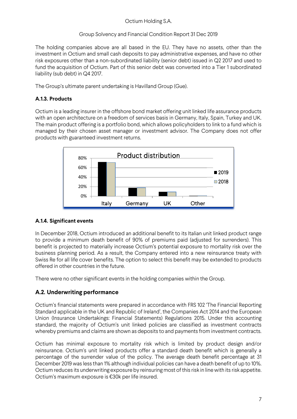## Group Solvency and Financial Condition Report 31 Dec 2019

The holding companies above are all based in the EU. They have no assets, other than the investment in Octium and small cash deposits to pay administrative expenses, and have no other risk exposures other than a non-subordinated liability (senior debt) issued in Q2 2017 and used to fund the acquisition of Octium. Part of this senior debt was converted into a Tier 1 subordinated liability (sub debt) in Q4 2017.

The Group's ultimate parent undertaking is Havilland Group (Gue).

## **A.1.3. Products**

Octium is a leading insurer in the offshore bond market offering unit linked life assurance products with an open architecture on a freedom of services basis in Germany, Italy, Spain, Turkey and UK. The main product offering is a portfolio bond, which allows policyholders to link to a fund which is managed by their chosen asset manager or investment advisor. The Company does not offer products with guaranteed investment returns.



## **A.1.4. Significant events**

In December 2018, Octium introduced an additional benefit to its Italian unit linked product range to provide a minimum death benefit of 90% of premiums paid (adjusted for surrenders). This benefit is projected to materially increase Octium's potential exposure to mortality risk over the business planning period. As a result, the Company entered into a new reinsurance treaty with Swiss Re for all life cover benefits. The option to select this benefit may be extended to products offered in other countries in the future.

There were no other significant events in the holding companies within the Group.

# **A.2. Underwriting performance**

Octium's financial statements were prepared in accordance with FRS 102 'The Financial Reporting Standard applicable in the UK and Republic of Ireland', the Companies Act 2014 and the European Union (Insurance Undertakings: Financial Statements) Regulations 2015. Under this accounting standard, the majority of Octium's unit linked policies are classified as investment contracts whereby premiums and claims are shown as deposits to and payments from investment contracts.

Octium has minimal exposure to mortality risk which is limited by product design and/or reinsurance. Octium's unit linked products offer a standard death benefit which is generally a percentage of the surrender value of the policy. The average death benefit percentage at 31 December 2019 was less than 1% although individual policies can have a death benefit of up to 10%. Octium reduces its underwriting exposure by reinsuring most of this risk in line with its risk appetite. Octium's maximum exposure is €30k per life insured.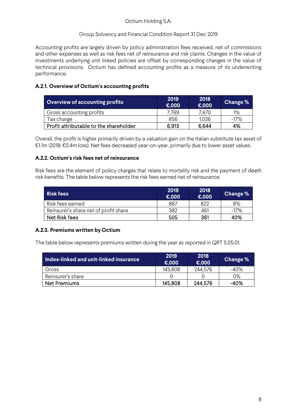## Group Solvency and Financial Condition Report 31 Dec 2019

Accounting profits are largely driven by policy administration fees received, net of commissions and other expenses as well as risk fees net of reinsurance and risk claims. Changes in the value of investments underlying unit linked policies are offset by corresponding changes in the value of technical provisions. Octium has defined accounting profits as a measure of its underwriting performance.

## **A.2.1. Overview of Octium's accounting profits**

| <b>Overview of accounting profits</b>  | 2019<br>€,000 | 2018<br>E,000 | Change % |
|----------------------------------------|---------------|---------------|----------|
| Gross accounting profits               | 7.769         | 7.670         | $1\%$    |
| Tax charge                             | 856           | 1,026         | $-17\%$  |
| Profit attributable to the shareholder | 6,913         | 6,644         | 4%       |

Overall, the profit is higher primarily driven by a valuation gain on the Italian substitute tax asset of €1.1m (2018: €0.4m loss). Net fees decreased year-on-year, primarily due to lower asset values.

## **A.2.2. Octium's risk fees net of reinsurance**

Risk fees are the element of policy charges that relate to mortality risk and the payment of death risk benefits. The table below represents the risk fees earned net of reinsurance.

| <b>Risk fees</b>                      | 2019<br>$\epsilon$ ,000 | 2018<br>E,000 | Change % |
|---------------------------------------|-------------------------|---------------|----------|
| Risk fees earned                      | 887                     | 822           | 8%       |
| Reinsurer's share net of profit share | 382                     | 461           | $-17%$   |
| Net Risk fees                         | 505                     | 361           | 40%      |

## **A.2.3. Premiums written by Octium**

The table below represents premiums written during the year as reported in QRT S.05.01.

| $^\prime$ Index-linked and unit-linked insurance $^\prime$ | 2019<br>€.000 | 2018<br>€.000 | <b>Change %</b> |
|------------------------------------------------------------|---------------|---------------|-----------------|
| Gross                                                      | 145.808       | 244,576       | -40%            |
| Reinsurer's share                                          |               |               | 0%              |
| Net Premiums                                               | 145,808       | 244,576       | -40%            |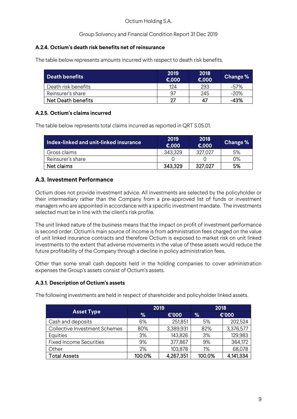## **A.2.4. Octium's death risk benefits net of reinsurance**

The table below represents amounts incurred with respect to death risk benefits.

| <b>Death benefits</b> | 2019<br>$\epsilon$ ,000 | 2018<br>€,000 | Change % |
|-----------------------|-------------------------|---------------|----------|
| Death risk benefits   | 124                     | 293           | -57%     |
| Reinsurer's share     | 97                      | 245           | $-20\%$  |
| Net Death benefits    | 27                      | 47            | -43%     |

## **A.2.5. Octium's claims incurred**

The table below represents total claims incurred as reported in QRT S.05.01.

| Index-linked and unit-linked insurance | 2019<br>€.000 | 2018<br>€,000 | Change % |
|----------------------------------------|---------------|---------------|----------|
| Gross claims                           | 343,329       | 327.027       | 5%       |
| Reinsurer's share                      |               |               | 0%       |
| Net claims                             | 343.329       | 327.027       | 5%       |

# **A.3. Investment Performance**

Octium does not provide investment advice. All investments are selected by the policyholder or their intermediary rather than the Company from a pre-approved list of funds or investment managers who are appointed in accordance with a specific investment mandate. The investments selected must be in line with the client's risk profile.

The unit linked nature of the business means that the impact on profit of investment performance is second order. Octium's main source of income is from administration fees charged on the value of unit linked insurance contracts and therefore Octium is exposed to market risk on unit linked investments to the extent that adverse movements in the value of these assets would reduce the future profitability of the Company through a decline in policy administration fees.

Other than some small cash deposits held in the holding companies to cover administration expenses the Group's assets consist of Octium's assets.

## **A.3.1. Description of Octium's assets**

The following investments are held in respect of shareholder and policyholder linked assets.

|                                      | 2019   |           | 2018   |           |
|--------------------------------------|--------|-----------|--------|-----------|
| <b>Asset Type</b>                    | %      | €'000     | %      | €'000     |
| Cash and deposits                    | 6%     | 251,851   | 5%     | 202,524   |
| <b>Collective Investment Schemes</b> | 80%    | 3,389,931 | 82%    | 3,376,577 |
| Equities                             | 3%     | 143,826   | 3%     | 129,983   |
| <b>Fixed Income Securities</b>       | 9%     | 377,867   | 9%     | 364,172   |
| Other                                | 2%     | 103,878   | 1%     | 68,078    |
| <b>Total Assets</b>                  | 100.0% | 4,267,351 | 100.0% | 4,141,334 |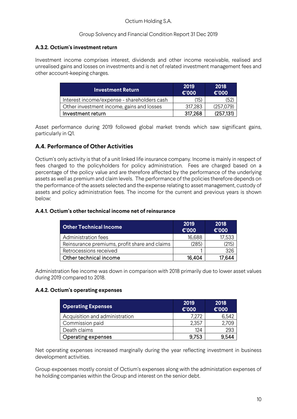## **A.3.2. Octium's investment return**

Investment income comprises interest, dividends and other income receivable, realised and unrealised gains and losses on investments and is net of related investment management fees and other account-keeping charges.

| <b>Investment Return,</b>                   | 2019<br>€'000 | 2018<br>$\epsilon$ '000 |
|---------------------------------------------|---------------|-------------------------|
| Interest income/expense - shareholders cash | (15)          | (52                     |
| Other investment income, gains and losses   | 317,283       | (257,079)               |
| Investment return                           | 317.268       | (257.131)               |

Asset performance during 2019 followed global market trends which saw significant gains, particularly in Q1.

## **A.4. Performance of Other Activities**

Octium's only activity is that of a unit linked life insurance company. Income is mainly in respect of fees charged to the policyholders for policy administration. Fees are charged based on a percentage of the policy value and are therefore affected by the performance of the underlying assets as well as premium and claim levels. The performance of the policies therefore depends on the performance of the assets selected and the expense relating to asset management, custody of assets and policy administration fees. The income for the current and previous years is shown below:

#### **A.4.1. Octium's other technical income net of reinsurance**

| <b>Other Technical Income</b>                 | 2019<br>€'000 | 2018<br>€'000 |
|-----------------------------------------------|---------------|---------------|
| Administration fees                           | 16,688        | 17.533        |
| Reinsurance premiums, profit share and claims | (285)         | (215)         |
| Retrocessions received                        |               | 326           |
| Other technical income                        | 16.404        | 644           |

Administration fee income was down in comparison with 2018 primarily due to lower asset values during 2019 compared to 2018.

#### **A.4.2. Octium's operating expenses**

| <b>Operating Expenses</b>      | 2019<br>€'000 | 2018<br>$\epsilon$ '000 |
|--------------------------------|---------------|-------------------------|
| Acquisition and administration | 7.272         | 6,542                   |
| Commission paid                | 2,357         | './09                   |
| Death claims                   | 124           | 293                     |
| <b>Operating expenses</b>      | 9,753         | 9.544                   |

Net operating expenses increased marginally during the year reflecting investment in business development activities.

Group expoenses mostly consist of Octium's expenses along with the administation expenses of he holding companies within the Group and interest on the senior debt.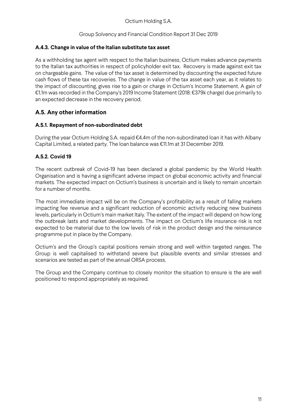## **A.4.3. Change in value of the Italian substitute tax asset**

As a withholding tax agent with respect to the Italian business, Octium makes advance payments to the Italian tax authorities in respect of policyholder exit tax. Recovery is made against exit tax on chargeable gains. The value of the tax asset is determined by discounting the expected future cash flows of these tax recoveries. The change in value of the tax asset each year, as it relates to the impact of discounting, gives rise to a gain or charge in Octium's Income Statement. A gain of €1.1m was recorded in the Company's 2019 Income Statement (2018: €379k charge) due primarily to an expected decrease in the recovery period.

# **A.5. Any other information**

## **A.5.1. Repayment of non-subordinated debt**

During the year Octium Holding S.A. repaid €4.4m of the non-subordinated loan it has with Albany Capital Limited, a related party. The loan balance was €11.1m at 31 December 2019.

## **A.5.2. Covid 19**

The recent outbreak of Covid-19 has been declared a global pandemic by the World Health Organisation and is having a significant adverse impact on global economic activity and financial markets. The expected impact on Octium's business is uncertain and is likely to remain uncertain for a number of months.

The most immediate impact will be on the Company's profitability as a result of falling markets impacting fee revenue and a significant reduction of economic activity reducing new business levels, particularly in Octium's main market Italy. The extent of the impact will depend on how long the outbreak lasts and market developments. The impact on Octium's life insurance risk is not expected to be material due to the low levels of risk in the product design and the reinsurance programme put in place by the Company.

Octium's and the Group's capital positions remain strong and well within targeted ranges. The Group is well capitalised to withstand severe but plausible events and similar stresses and scenarios are tested as part of the annual ORSA process.

The Group and the Company continue to closely monitor the situation to ensure is the are well positioned to respond appropriately as required.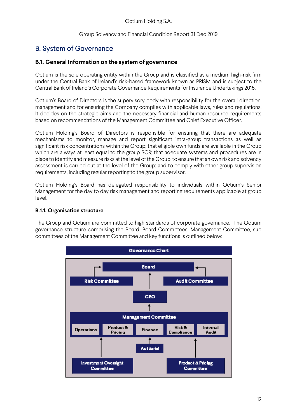Group Solvency and Financial Condition Report 31 Dec 2019

# B. System of Governance

## **B.1. General Information on the system of governance**

Octium is the sole operating entity within the Group and is classified as a medium high-risk firm under the Central Bank of Ireland's risk-based framework known as PRISM and is subject to the Central Bank of Ireland's Corporate Governance Requirements for Insurance Undertakings 2015.

Octium's Board of Directors is the supervisory body with responsibility for the overall direction, management and for ensuring the Company complies with applicable laws, rules and regulations. It decides on the strategic aims and the necessary financial and human resource requirements based on recommendations of the Management Committee and Chief Executive Officer.

Octium Holding's Board of Directors is responsible for ensuring that there are adequate mechanisms to monitor, manage and report significant intra-group transactions as well as significant risk concentrations within the Group; that eligible own funds are available in the Group which are always at least equal to the group SCR; that adequate systems and procedures are in place to identify and measure risks at the level of the Group; to ensure that an own risk and solvency assessment is carried out at the level of the Group; and to comply with other group supervision requirements, including regular reporting to the group supervisor.

Octium Holding's Board has delegated responsibility to individuals within Octium's Senior Management for the day to day risk management and reporting requirements applicable at group level.

## **B.1.1. Organisation structure**

The Group and Octium are committed to high standards of corporate governance. The Octium governance structure comprising the Board, Board Committees, Management Committee, sub committees of the Management Committee and key functions is outlined below:

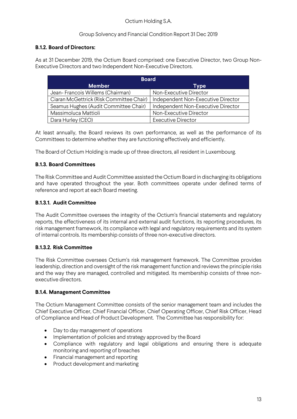## Group Solvency and Financial Condition Report 31 Dec 2019

## **B.1.2. Board of Directors:**

As at 31 December 2019, the Octium Board comprised: one Executive Director, two Group Non-Executive Directors and two Independent Non-Executive Directors.

| <b>Board</b>                             |                                    |  |  |
|------------------------------------------|------------------------------------|--|--|
| <b>Member</b>                            | Type                               |  |  |
| Jean-Francois Willems (Chairman)         | Non-Executive Director             |  |  |
| Ciaran McGettrick (Risk Committee Chair) | Independent Non-Executive Director |  |  |
| Seamus Hughes (Audit Committee Chair)    | Independent Non-Executive Director |  |  |
| Massimoluca Mattioli                     | Non-Executive Director             |  |  |
| Dara Hurley (CEO)                        | <b>Executive Director</b>          |  |  |

At least annually, the Board reviews its own performance, as well as the performance of its Committees to determine whether they are functioning effectively and efficiently.

The Board of Octium Holding is made up of three directors, all resident in Luxembourg.

#### **B.1.3. Board Committees**

The Risk Committee and Audit Committee assisted the Octium Board in discharging its obligations and have operated throughout the year. Both committees operate under defined terms of reference and report at each Board meeting.

## **B.1.3.1. Audit Committee**

The Audit Committee oversees the integrity of the Octium's financial statements and regulatory reports, the effectiveness of its internal and external audit functions, its reporting procedures, its risk management framework, its compliance with legal and regulatory requirements and its system of internal controls. Its membership consists of three non-executive directors.

#### **B.1.3.2. Risk Committee**

The Risk Committee oversees Octium's risk management framework. The Committee provides leadership, direction and oversight of the risk management function and reviews the principle risks and the way they are managed, controlled and mitigated. Its membership consists of three nonexecutive directors.

#### **B.1.4. Management Committee**

The Octium Management Committee consists of the senior management team and includes the Chief Executive Officer, Chief Financial Officer, Chief Operating Officer, Chief Risk Officer, Head of Compliance and Head of Product Development. The Committee has responsibility for:

- Day to day management of operations
- Implementation of policies and strategy approved by the Board
- Compliance with regulatory and legal obligations and ensuring there is adequate monitoring and reporting of breaches
- Financial management and reporting
- Product development and marketing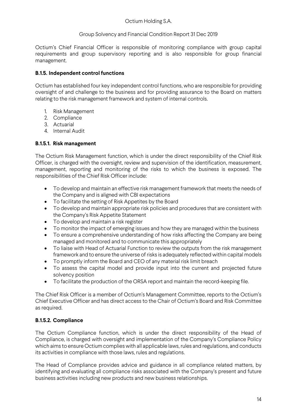### Group Solvency and Financial Condition Report 31 Dec 2019

Octium's Chief Financial Officer is responsible of monitoring compliance with group capital requirements and group supervisory reporting and is also responsible for group financial management.

## **B.1.5. Independent control functions**

Octium has established four key independent control functions, who are responsible for providing oversight of and challenge to the business and for providing assurance to the Board on matters relating to the risk management framework and system of internal controls.

- 1. Risk Management
- 2. Compliance
- 3. Actuarial
- 4. Internal Audit

## **B.1.5.1. Risk management**

The Octium Risk Management function, which is under the direct responsibility of the Chief Risk Officer, is charged with the oversight, review and supervision of the identification, measurement, management, reporting and monitoring of the risks to which the business is exposed. The responsibilities of the Chief Risk Officer include:

- To develop and maintain an effective risk management framework that meets the needs of the Company and is aligned with CBI expectations
- To facilitate the setting of Risk Appetites by the Board
- To develop and maintain appropriate risk policies and procedures that are consistent with the Company's Risk Appetite Statement
- To develop and maintain a risk register
- To monitor the impact of emerging issues and how they are managed within the business
- To ensure a comprehensive understanding of how risks affecting the Company are being managed and monitored and to communicate this appropriately
- To liaise with Head of Actuarial Function to review the outputs from the risk management framework and to ensure the universe of risks is adequately reflected within capital models
- To promptly inform the Board and CEO of any material risk limit breach
- To assess the capital model and provide input into the current and projected future solvency position
- To facilitate the production of the ORSA report and maintain the record-keeping file.

The Chief Risk Officer is a member of Octium's Management Committee, reports to the Octium's Chief Executive Officer and has direct access to the Chair of Octium's Board and Risk Committee as required.

## **B.1.5.2. Compliance**

The Octium Compliance function, which is under the direct responsibility of the Head of Compliance, is charged with oversight and implementation of the Company's Compliance Policy which aims to ensure Octium complies with all applicable laws, rules and regulations, and conducts its activities in compliance with those laws, rules and regulations.

The Head of Compliance provides advice and guidance in all compliance related matters, by identifying and evaluating all compliance risks associated with the Company's present and future business activities including new products and new business relationships.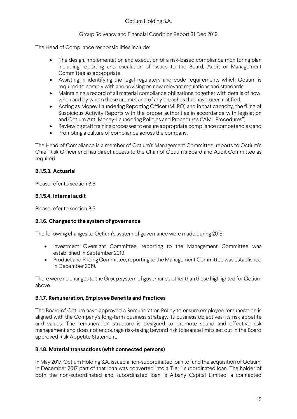## Group Solvency and Financial Condition Report 31 Dec 2019

The Head of Compliance responsibilities include:

- The design, implementation and execution of a risk-based compliance monitoring plan including reporting and escalation of issues to the Board, Audit or Management Committee as appropriate.
- Assisting in identifying the legal regulatory and code requirements which Octium is required to comply with and advising on new relevant regulations and standards.
- Maintaining a record of all material compliance obligations, together with details of how, when and by whom these are met and of any breaches that have been notified.
- Acting as Money Laundering Reporting Officer (MLRO) and in that capacity, the filing of Suspicious Activity Reports with the proper authorities in accordance with legislation and Octium Anti Money-Laundering Policies and Procedures ("AML Procedures").
- Reviewing staff training processes to ensure appropriate compliance competencies; and
- Promoting a culture of compliance across the company.

The Head of Compliance is a member of Octium's Management Committee, reports to Octium's Chief Risk Officer and has direct access to the Chair of Octium's Board and Audit Committee as required.

## **B.1.5.3. Actuarial**

Please refer to section B.6

#### **B.1.5.4. Internal audit**

Please refer to section B.5

#### **B.1.6. Changes to the system of governance**

The following changes to Octium's system of governance were made during 2019:

- Investment Oversight Committee, reporting to the Management Committee was established in September 2019
- Product and Pricing Committee, reporting to the Management Committee was established in December 2019.

There were no changes to the Group system of governance other than those highlighted for Octium above.

#### **B.1.7. Remuneration, Employee Benefits and Practices**

The Board of Octium have approved a Remuneration Policy to ensure employee remuneration is aligned with the Company's long-term business strategy, its business objectives, its risk appetite and values. The remuneration structure is designed to promote sound and effective risk management and does not encourage risk-taking beyond risk tolerance limits set out in the Board approved Risk Appetite Statement.

#### **B.1.8. Material transactions (with connected persons)**

In May 2017, Octium Holding S.A. issued a non-subordinated loan to fund the acquisition of Octium; in December 2017 part of that loan was converted into a Tier 1 subordinated loan. The holder of both the non-subordinated and subordinated loan is Albany Capital Limited, a connected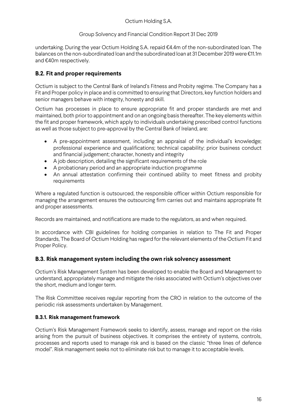undertaking. During the year Octium Holding S.A. repaid €4.4m of the non-subordinated loan. The balances on the non-subordinated loan and the subordinated loan at 31 December 2019 were €11.1m and €40m respectively.

# **B.2. Fit and proper requirements**

Octium is subject to the Central Bank of Ireland's Fitness and Probity regime. The Company has a Fit and Proper policy in place and is committed to ensuring that Directors, key function holders and senior managers behave with integrity, honesty and skill.

Octium has processes in place to ensure appropriate fit and proper standards are met and maintained, both prior to appointment and on an ongoing basis thereafter. The key elements within the fit and proper framework, which apply to individuals undertaking prescribed control functions as well as those subject to pre-approval by the Central Bank of Ireland, are:

- A pre-appointment assessment, including an appraisal of the individual's knowledge; professional experience and qualifications; technical capability; prior business conduct and financial judgement; character, honesty and integrity
- A job description, detailing the significant requirements of the role
- A probationary period and an appropriate induction programme
- An annual attestation confirming their continued ability to meet fitness and probity requirements

Where a regulated function is outsourced, the responsible officer within Octium responsible for managing the arrangement ensures the outsourcing firm carries out and maintains appropriate fit and proper assessments.

Records are maintained, and notifications are made to the regulators, as and when required.

In accordance with CBI guidelines for holding companies in relation to The Fit and Proper Standards, The Board of Octium Holding has regard for the relevant elements of the Octium Fit and Proper Policy.

# **B.3. Risk management system including the own risk solvency assessment**

Octium's Risk Management System has been developed to enable the Board and Management to understand, appropriately manage and mitigate the risks associated with Octium's objectives over the short, medium and longer term.

The Risk Committee receives regular reporting from the CRO in relation to the outcome of the periodic risk assessments undertaken by Management.

## **B.3.1. Risk management framework**

Octium's Risk Management Framework seeks to identify, assess, manage and report on the risks arising from the pursuit of business objectives. It comprises the entirety of systems, controls, processes and reports used to manage risk and is based on the classic "three lines of defence model". Risk management seeks not to eliminate risk but to manage it to acceptable levels.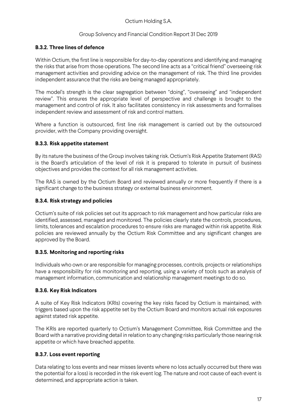## **B.3.2. Three lines of defence**

Within Octium, the first line is responsible for day-to-day operations and identifying and managing the risks that arise from those operations. The second line acts as a "critical friend" overseeing risk management activities and providing advice on the management of risk. The third line provides independent assurance that the risks are being managed appropriately.

The model's strength is the clear segregation between "doing", "overseeing" and "independent review". This ensures the appropriate level of perspective and challenge is brought to the management and control of risk. It also facilitates consistency in risk assessments and formalises independent review and assessment of risk and control matters.

Where a function is outsourced, first line risk management is carried out by the outsourced provider, with the Company providing oversight.

## **B.3.3. Risk appetite statement**

By its nature the business of the Group involves taking risk. Octium's Risk Appetite Statement (RAS) is the Board's articulation of the level of risk it is prepared to tolerate in pursuit of business objectives and provides the context for all risk management activities.

The RAS is owned by the Octium Board and reviewed annually or more frequently if there is a significant change to the business strategy or external business environment.

## **B.3.4. Risk strategy and policies**

Octium's suite of risk policies set out its approach to risk management and how particular risks are identified, assessed, managed and monitored. The policies clearly state the controls, procedures, limits, tolerances and escalation procedures to ensure risks are managed within risk appetite. Risk policies are reviewed annually by the Octium Risk Committee and any significant changes are approved by the Board.

## **B.3.5. Monitoring and reporting risks**

Individuals who own or are responsible for managing processes, controls, projects or relationships have a responsibility for risk monitoring and reporting, using a variety of tools such as analysis of management information, communication and relationship management meetings to do so.

#### **B.3.6. Key Risk Indicators**

A suite of Key Risk Indicators (KRIs) covering the key risks faced by Octium is maintained, with triggers based upon the risk appetite set by the Octium Board and monitors actual risk exposures against stated risk appetite.

The KRIs are reported quarterly to Octium's Management Committee, Risk Committee and the Board with a narrative providing detail in relation to any changing risks particularly those nearing risk appetite or which have breached appetite.

#### **B.3.7. Loss event reporting**

Data relating to loss events and near misses (events where no loss actually occurred but there was the potential for a loss) is recorded in the risk event log. The nature and root cause of each event is determined, and appropriate action is taken.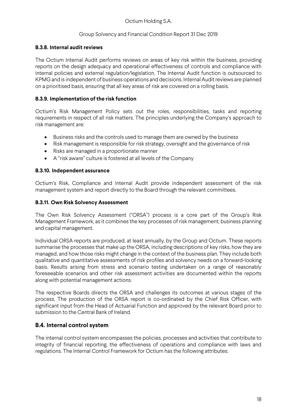#### **B.3.8. Internal audit reviews**

The Octium Internal Audit performs reviews on areas of key risk within the business, providing reports on the design adequacy and operational effectiveness of controls and compliance with internal policies and external regulation/legislation. The Internal Audit function is outsourced to KPMG and is independent of business operations and decisions. Internal Audit reviews are planned on a prioritised basis, ensuring that all key areas of risk are covered on a rolling basis.

## **B.3.9. Implementation of the risk function**

Octium's Risk Management Policy sets out the roles, responsibilities, tasks and reporting requirements in respect of all risk matters. The principles underlying the Company's approach to risk management are:

- Business risks and the controls used to manage them are owned by the business
- Risk management is responsible for risk strategy, oversight and the governance of risk
- Risks are managed in a proportionate manner
- A "risk aware" culture is fostered at all levels of the Company

## **B.3.10. Independent assurance**

Octium's Risk, Compliance and Internal Audit provide independent assessment of the risk management system and report directly to the Board through the relevant committees.

## **B.3.11. Own Risk Solvency Assessment**

The Own Risk Solvency Assessment ("ORSA") process is a core part of the Group's Risk Management Framework, as it combines the key processes of risk management, business planning and capital management.

Individual ORSA reports are produced, at least annually, by the Group and Octium. These reports summarise the processes that make up the ORSA, including descriptions of key risks, how they are managed, and how those risks might change in the context of the business plan. They include both qualitative and quantitative assessments of risk profiles and solvency needs on a forward-looking basis. Results arising from stress and scenario testing undertaken on a range of reasonably foreseeable scenarios and other risk assessment activities are documented within the reports along with potential management actions.

The respective Boards directs the ORSA and challenges its outcomes at various stages of the process. The production of the ORSA report is co-ordinated by the Chief Risk Officer, with significant input from the Head of Actuarial Function and approved by the relevant Board prior to submission to the Central Bank of Ireland.

## **B.4. Internal control system**

The internal control system encompasses the policies, processes and activities that contribute to integrity of financial reporting, the effectiveness of operations and compliance with laws and regulations. The Internal Control Framework for Octium has the following attributes: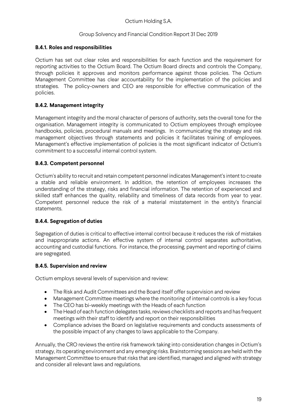## **B.4.1. Roles and responsibilities**

Octium has set out clear roles and responsibilities for each function and the requirement for reporting activities to the Octium Board. The Octium Board directs and controls the Company, through policies it approves and monitors performance against those policies. The Octium Management Committee has clear accountability for the implementation of the policies and strategies. The policy-owners and CEO are responsible for effective communication of the policies.

## **B.4.2. Management integrity**

Management integrity and the moral character of persons of authority, sets the overall tone for the organisation. Management integrity is communicated to Octium employees through employee handbooks, policies, procedural manuals and meetings. In communicating the strategy and risk management objectives through statements and policies it facilitates training of employees. Management's effective implementation of policies is the most significant indicator of Octium's commitment to a successful internal control system.

## **B.4.3. Competent personnel**

Octium's ability to recruit and retain competent personnel indicates Management's intent to create a stable and reliable environment. In addition, the retention of employees increases the understanding of the strategy, risks and financial information. The retention of experienced and skilled staff enhances the quality, reliability and timeliness of data records from year to year. Competent personnel reduce the risk of a material misstatement in the entity's financial statements.

## **B.4.4. Segregation of duties**

Segregation of duties is critical to effective internal control because it reduces the risk of mistakes and inappropriate actions. An effective system of internal control separates authoritative, accounting and custodial functions. For instance, the processing, payment and reporting of claims are segregated.

#### **B.4.5. Supervision and review**

Octium employs several levels of supervision and review:

- The Risk and Audit Committees and the Board itself offer supervision and review
- Management Committee meetings where the monitoring of internal controls is a key focus
- The CEO has bi-weekly meetings with the Heads of each function
- The Head of each function delegates tasks, reviews checklists and reports and has frequent meetings with their staff to identify and report on their responsibilities
- Compliance advises the Board on legislative requirements and conducts assessments of the possible impact of any changes to laws applicable to the Company.

Annually, the CRO reviews the entire risk framework taking into consideration changes in Octium's strategy, its operating environment and any emerging risks. Brainstorming sessions are held with the Management Committee to ensure that risks that are identified, managed and aligned with strategy and consider all relevant laws and regulations.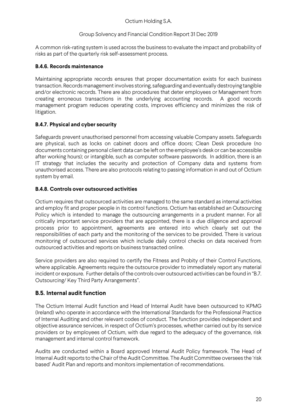#### Group Solvency and Financial Condition Report 31 Dec 2019

A common risk-rating system is used across the business to evaluate the impact and probability of risks as part of the quarterly risk self-assessment process.

## **B.4.6. Records maintenance**

Maintaining appropriate records ensures that proper documentation exists for each business transaction. Records management involves storing, safeguarding and eventually destroying tangible and/or electronic records. There are also procedures that deter employees or Management from creating erroneous transactions in the underlying accounting records. A good records management program reduces operating costs, improves efficiency and minimizes the risk of litigation.

## **B.4.7. Physical and cyber security**

Safeguards prevent unauthorised personnel from accessing valuable Company assets. Safeguards are physical, such as locks on cabinet doors and office doors; Clean Desk procedure (no documents containing personal client data can be left on the employee's desk or can be accessible after working hours); or intangible, such as computer software passwords. In addition, there is an IT strategy that includes the security and protection of Company data and systems from unauthorised access. There are also protocols relating to passing information in and out of Octium system by email.

## **B.4.8. Controls over outsourced activities**

Octium requires that outsourced activities are managed to the same standard as internal activities and employ fit and proper people in its control functions. Octium has established an Outsourcing Policy which is intended to manage the outsourcing arrangements in a prudent manner. For all critically important service providers that are appointed, there is a due diligence and approval process prior to appointment, agreements are entered into which clearly set out the responsibilities of each party and the monitoring of the services to be provided. There is various monitoring of outsourced services which include daily control checks on data received from outsourced activities and reports on business transacted online.

Service providers are also required to certify the Fitness and Probity of their Control Functions, where applicable. Agreements require the outsource provider to immediately report any material incident or exposure. Further details of the controls over outsourced activities can be found in "B.7. Outsourcing/ Key Third Party Arrangements".

## **B.5. Internal audit function**

The Octium Internal Audit function and Head of Internal Audit have been outsourced to KPMG (Ireland) who operate in accordance with the International Standards for the Professional Practice of Internal Auditing and other relevant codes of conduct. The function provides independent and objective assurance services, in respect of Octium's processes, whether carried out by its service providers or by employees of Octium, with due regard to the adequacy of the governance, risk management and internal control framework.

Audits are conducted within a Board approved Internal Audit Policy framework. The Head of Internal Audit reports to the Chair of the Audit Committee. The Audit Committee oversees the 'risk based' Audit Plan and reports and monitors implementation of recommendations.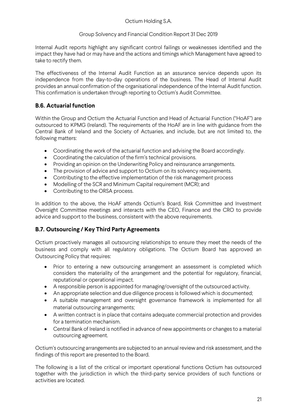## Group Solvency and Financial Condition Report 31 Dec 2019

Internal Audit reports highlight any significant control failings or weaknesses identified and the impact they have had or may have and the actions and timings which Management have agreed to take to rectify them.

The effectiveness of the Internal Audit Function as an assurance service depends upon its independence from the day-to-day operations of the business. The Head of Internal Audit provides an annual confirmation of the organisational independence of the Internal Audit function. This confirmation is undertaken through reporting to Octium's Audit Committee.

# **B.6. Actuarial function**

Within the Group and Octium the Actuarial Function and Head of Actuarial Function ("HoAF") are outsourced to KPMG (Ireland). The requirements of the HoAF are in line with guidance from the Central Bank of Ireland and the Society of Actuaries, and include, but are not limited to, the following matters:

- Coordinating the work of the actuarial function and advising the Board accordingly.
- Coordinating the calculation of the firm's technical provisions.
- Providing an opinion on the Underwriting Policy and reinsurance arrangements.
- The provision of advice and support to Octium on its solvency requirements.
- Contributing to the effective implementation of the risk management process
- Modelling of the SCR and Minimum Capital requirement (MCR); and
- Contributing to the ORSA process.

In addition to the above, the HoAF attends Octium's Board, Risk Committee and Investment Oversight Committee meetings and interacts with the CEO, Finance and the CRO to provide advice and support to the business, consistent with the above requirements.

# **B.7. Outsourcing / Key Third Party Agreements**

Octium proactively manages all outsourcing relationships to ensure they meet the needs of the business and comply with all regulatory obligations. The Octium Board has approved an Outsourcing Policy that requires:

- Prior to entering a new outsourcing arrangement an assessment is completed which considers the materiality of the arrangement and the potential for regulatory, financial, reputational or operational impact.
- A responsible person is appointed for managing/oversight of the outsourced activity.
- An appropriate selection and due diligence process is followed which is documented;
- A suitable management and oversight governance framework is implemented for all material outsourcing arrangements;
- A written contract is in place that contains adequate commercial protection and provides for a termination mechanism.
- Central Bank of Ireland is notified in advance of new appointments or changes to a material outsourcing agreement.

Octium's outsourcing arrangements are subjected to an annual review and risk assessment, and the findings of this report are presented to the Board.

The following is a list of the critical or important operational functions Octium has outsourced together with the jurisdiction in which the third-party service providers of such functions or activities are located.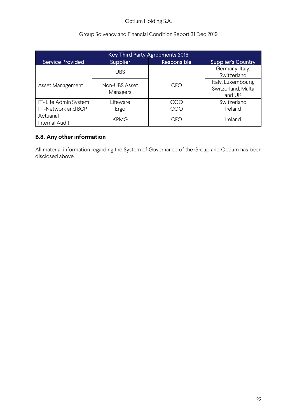## Group Solvency and Financial Condition Report 31 Dec 2019

| <b>Key Third Party Agreements 2019</b> |                           |             |                                                    |  |
|----------------------------------------|---------------------------|-------------|----------------------------------------------------|--|
| <b>Service Provided</b>                | <b>Supplier</b>           | Responsible | <b>Supplier's Country</b>                          |  |
|                                        | <b>UBS</b>                |             | Germany, Italy,<br>Switzerland                     |  |
| Asset Management                       | Non-UBS Asset<br>Managers | CFO         | Italy, Luxembourg,<br>Switzerland, Malta<br>and UK |  |
| IT-Life Admin System                   | Lifeware                  | COO         | Switzerland                                        |  |
| IT-Network and BCP                     | Ergo                      | COO         | Ireland                                            |  |
| Actuarial<br>Internal Audit            | <b>KPMG</b>               | CFO         | Ireland                                            |  |

# **B.8. Any other information**

All material information regarding the System of Governance of the Group and Octium has been disclosed above.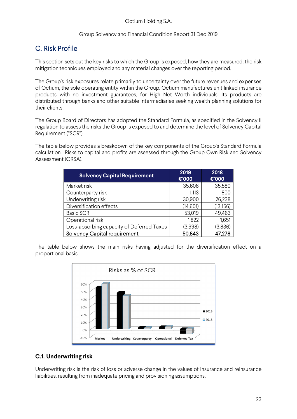# C. Risk Profile

This section sets out the key risks to which the Group is exposed, how they are measured, the risk mitigation techniques employed and any material changes over the reporting period.

The Group's risk exposures relate primarily to uncertainty over the future revenues and expenses of Octium, the sole operating entity within the Group. Octium manufactures unit linked insurance products with no investment guarantees, for High Net Worth individuals. Its products are distributed through banks and other suitable intermediaries seeking wealth planning solutions for their clients.

The Group Board of Directors has adopted the Standard Formula, as specified in the Solvency II regulation to assess the risks the Group is exposed to and determine the level of Solvency Capital Requirement ("SCR").

The table below provides a breakdown of the key components of the Group's Standard Formula calculation. Risks to capital and profits are assessed through the Group Own Risk and Solvency Assessment (ORSA).

| <b>Solvency Capital Requirement</b>       | 2019<br>€'000 | 2018<br>€'000 |
|-------------------------------------------|---------------|---------------|
| Market risk                               | 35,606        | 35,580        |
| Counterparty risk                         | 1,113         | 800           |
| Underwriting risk                         | 30,900        | 26,238        |
| Diversification effects                   | (14,601)      | (13, 156)     |
| <b>Basic SCR</b>                          | 53,019        | 49,463        |
| Operational risk                          | 1,822         | 1,651         |
| Loss-absorbing capacity of Deferred Taxes | (3,998)       | (3,836)       |
| <b>Solvency Capital requirement</b>       | 50,843        | 47,278        |

The table below shows the main risks having adjusted for the diversification effect on a proportional basis.



# **C.1. Underwriting risk**

Underwriting risk is the risk of loss or adverse change in the values of insurance and reinsurance liabilities, resulting from inadequate pricing and provisioning assumptions.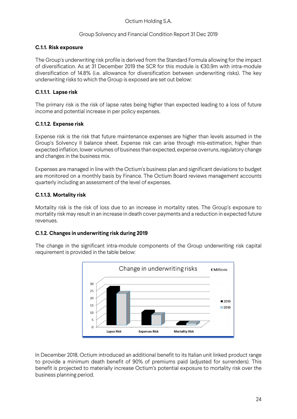## **C.1.1. Risk exposure**

The Group's underwriting risk profile is derived from the Standard Formula allowing for the impact of diversification. As at 31 December 2019 the SCR for this module is €30.9m with intra-module diversification of 14.8% (i.e. allowance for diversification between underwriting risks). The key underwriting risks to which the Group is exposed are set out below:

## **C.1.1.1. Lapse risk**

The primary risk is the risk of lapse rates being higher than expected leading to a loss of future income and potential increase in per policy expenses.

## **C.1.1.2. Expense risk**

Expense risk is the risk that future maintenance expenses are higher than levels assumed in the Group's Solvency II balance sheet. Expense risk can arise through mis-estimation, higher than expected inflation, lower volumes of business than expected, expense overruns, regulatory change and changes in the business mix.

Expenses are managed in line with the Octium's business plan and significant deviations to budget are monitored on a monthly basis by Finance. The Octium Board reviews management accounts quarterly including an assessment of the level of expenses.

## **C.1.1.3. Mortality risk**

Mortality risk is the risk of loss due to an increase in mortality rates. The Group's exposure to mortality risk may result in an increase in death cover payments and a reduction in expected future revenues.

## **C.1.2. Changes in underwriting risk during 2019**

The change in the significant intra-module components of the Group underwriting risk capital requirement is provided in the table below:



In December 2018, Octium introduced an additional benefit to its Italian unit linked product range to provide a minimum death benefit of 90% of premiums paid (adjusted for surrenders). This benefit is projected to materially increase Octium's potential exposure to mortality risk over the business planning period.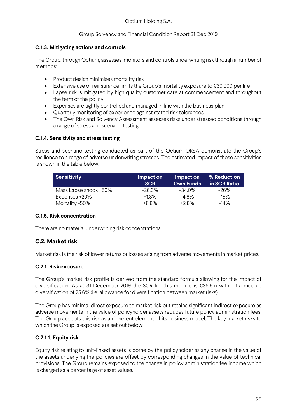## **C.1.3. Mitigating actions and controls**

The Group, through Octium, assesses, monitors and controls underwriting risk through a number of methods:

- Product design minimises mortality risk
- Extensive use of reinsurance limits the Group's mortality exposure to €30,000 per life
- Lapse risk is mitigated by high quality customer care at commencement and throughout the term of the policy
- Expenses are tightly controlled and managed in line with the business plan
- Quarterly monitoring of experience against stated risk tolerances
- The Own Risk and Solvency Assessment assesses risks under stressed conditions through a range of stress and scenario testing.

## **C.1.4. Sensitivity and stress testing**

Stress and scenario testing conducted as part of the Octium ORSA demonstrate the Group's resilience to a range of adverse underwriting stresses. The estimated impact of these sensitivities is shown in the table below:

| <b>Sensitivity</b>    | Impact on<br><b>SCR</b> | Impact on<br><b>Own Funds</b> | % Reduction<br>in SCR Ratio |
|-----------------------|-------------------------|-------------------------------|-----------------------------|
| Mass Lapse shock +50% | $-26.3%$                | $-34.0\%$                     | -26%                        |
| Expenses +20%         | $+1.3%$                 | -4.8%                         | $-15\%$                     |
| Mortality -50%        | +8.8%                   | $+2.8\%$                      | $-14\%$                     |

#### **C.1.5. Risk concentration**

There are no material underwriting risk concentrations.

# **C.2. Market risk**

Market risk is the risk of lower returns or losses arising from adverse movements in market prices.

#### **C.2.1. Risk exposure**

The Group's market risk profile is derived from the standard formula allowing for the impact of diversification. As at 31 December 2019 the SCR for this module is €35.6m with intra-module diversification of 25.6% (i.e. allowance for diversification between market risks).

The Group has minimal direct exposure to market risk but retains significant indirect exposure as adverse movements in the value of policyholder assets reduces future policy administration fees. The Group accepts this risk as an inherent element of its business model. The key market risks to which the Group is exposed are set out below:

## **C.2.1.1. Equity risk**

Equity risk relating to unit-linked assets is borne by the policyholder as any change in the value of the assets underlying the policies are offset by corresponding changes in the value of technical provisions. The Group remains exposed to the change in policy administration fee income which is charged as a percentage of asset values.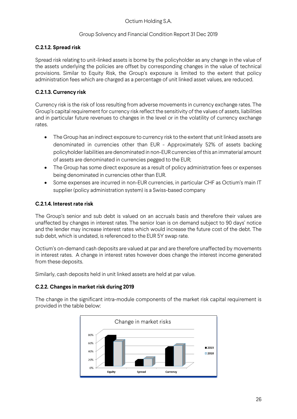## **C.2.1.2. Spread risk**

Spread risk relating to unit-linked assets is borne by the policyholder as any change in the value of the assets underlying the policies are offset by corresponding changes in the value of technical provisions. Similar to Equity Risk, the Group's exposure is limited to the extent that policy administration fees which are charged as a percentage of unit linked asset values, are reduced.

## **C.2.1.3. Currency risk**

Currency risk is the risk of loss resulting from adverse movements in currency exchange rates. The Group's capital requirement for currency risk reflect the sensitivity of the values of assets, liabilities and in particular future revenues to changes in the level or in the volatility of currency exchange rates.

- The Group has an indirect exposure to currency risk to the extent that unit linked assets are denominated in currencies other than EUR - Approximately 52% of assets backing policyholder liabilities are denominated in non-EUR currencies of this an immaterial amount of assets are denominated in currencies pegged to the EUR;
- The Group has some direct exposure as a result of policy administration fees or expenses being denominated in currencies other than EUR.
- Some expenses are incurred in non-EUR currencies, in particular CHF as Octium's main IT supplier (policy administration system) is a Swiss-based company

## **C.2.1.4. Interest rate risk**

The Group's senior and sub debt is valued on an accruals basis and therefore their values are unaffected by changes in interest rates. The senior loan is on demand subject to 90 days' notice and the lender may increase interest rates which would increase the future cost of the debt. The sub debt, which is undated, is referenced to the EUR 5Y swap rate.

Octium's on-demand cash deposits are valued at par and are therefore unaffected by movements in interest rates. A change in interest rates however does change the interest income generated from these deposits.

Similarly, cash deposits held in unit linked assets are held at par value.

## **C.2.2. Changes in market risk during 2019**

The change in the significant intra-module components of the market risk capital requirement is provided in the table below:

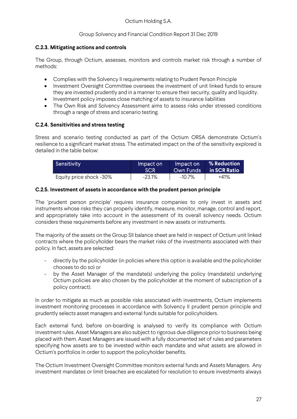## **C.2.3. Mitigating actions and controls**

The Group, through Octium, assesses, monitors and controls market risk through a number of methods:

- Complies with the Solvency II requirements relating to Prudent Person Principle
- Investment Oversight Committee oversees the investment of unit linked funds to ensure they are invested prudently and in a manner to ensure their security, quality and liquidity.
- Investment policy imposes close matching of assets to insurance liabilities
- The Own Risk and Solvency Assessment aims to assess risks under stressed conditions through a range of stress and scenario testing.

## **C.2.4. Sensitivities and stress testing**

Stress and scenario testing conducted as part of the Octium ORSA demonstrate Octium's resilience to a significant market stress. The estimated impact on the of the sensitivity explored is detailed in the table below:

| Sensitivity             | Impact on   | Impact on | % Reduction  |
|-------------------------|-------------|-----------|--------------|
|                         | <b>ISCR</b> | Own Funds | in SCR Ratio |
| Equity price shock -30% | -23.1%      | -10.7%    | $+41%$       |

## **C.2.5. Investment of assets in accordance with the prudent person principle**

The 'prudent person principle' requires insurance companies to only invest in assets and instruments whose risks they can properly identify, measure, monitor, manage, control and report, and appropriately take into account in the assessment of its overall solvency needs. Octium considers these requirements before any investment in new assets or instruments.

The majority of the assets on the Group SII balance sheet are held in respect of Octium unit linked contracts where the policyholder bears the market risks of the investments associated with their policy. In fact, assets are selected:

- directly by the policyholder (in policies where this option is available and the policyholder chooses to do so) or
- by the Asset Manager of the mandate(s) underlying the policy (mandate(s) underlying Octium policies are also chosen by the policyholder at the moment of subscription of a policy contract).

In order to mitigate as much as possible risks associated with investments, Octium implements investment monitoring processes in accordance with Solvency II prudent person principle and prudently selects asset managers and external funds suitable for policyholders.

Each external fund, before on-boarding is analysed to verify its compliance with Octium investment rules. Asset Managers are also subject to rigorous due diligence prior to business being placed with them. Asset Managers are issued with a fully documented set of rules and parameters specifying how assets are to be invested within each mandate and what assets are allowed in Octium's portfolios in order to support the policyholder benefits.

The Octium Investment Oversight Committee monitors external funds and Assets Managers. Any investment mandates or limit breaches are escalated for resolution to ensure investments always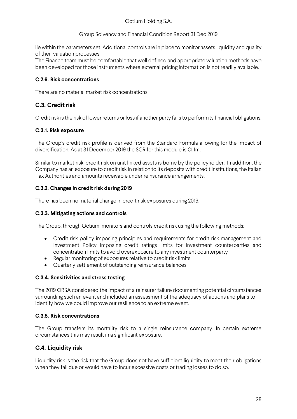Group Solvency and Financial Condition Report 31 Dec 2019

lie within the parameters set. Additional controls are in place to monitor assets liquidity and quality of their valuation processes.

The Finance team must be comfortable that well defined and appropriate valuation methods have been developed for those instruments where external pricing information is not readily available.

## **C.2.6. Risk concentrations**

There are no material market risk concentrations.

# **C.3. Credit risk**

Credit risk is the risk of lower returns or loss if another party fails to perform its financial obligations.

## **C.3.1. Risk exposure**

The Group's credit risk profile is derived from the Standard Formula allowing for the impact of diversification. As at 31 December 2019 the SCR for this module is €1.1m.

Similar to market risk, credit risk on unit linked assets is borne by the policyholder. In addition, the Company has an exposure to credit risk in relation to its deposits with credit institutions, the Italian Tax Authorities and amounts receivable under reinsurance arrangements.

## **C.3.2. Changes in credit risk during 2019**

There has been no material change in credit risk exposures during 2019.

## **C.3.3. Mitigating actions and controls**

The Group, through Octium, monitors and controls credit risk using the following methods:

- Credit risk policy imposing principles and requirements for credit risk management and Investment Policy imposing credit ratings limits for investment counterparties and concentration limits to avoid overexposure to any investment counterparty
- Regular monitoring of exposures relative to credit risk limits
- Quarterly settlement of outstanding reinsurance balances

## **C.3.4. Sensitivities and stress testing**

The 2019 ORSA considered the impact of a reinsurer failure documenting potential circumstances surrounding such an event and included an assessment of the adequacy of actions and plans to identify how we could improve our resilience to an extreme event.

## **C.3.5. Risk concentrations**

The Group transfers its mortality risk to a single reinsurance company. In certain extreme circumstances this may result in a significant exposure.

# **C.4. Liquidity risk**

Liquidity risk is the risk that the Group does not have sufficient liquidity to meet their obligations when they fall due or would have to incur excessive costs or trading losses to do so.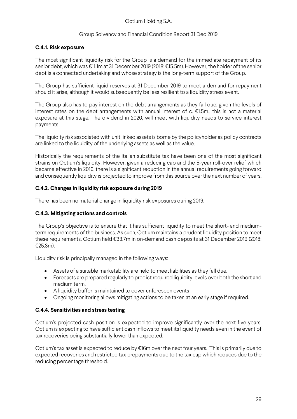#### Group Solvency and Financial Condition Report 31 Dec 2019

#### **C.4.1. Risk exposure**

The most significant liquidity risk for the Group is a demand for the immediate repayment of its senior debt, which was €11.1m at 31 December 2019 (2018: €15.5m). However, the holder of the senior debt is a connected undertaking and whose strategy is the long-term support of the Group.

The Group has sufficient liquid reserves at 31 December 2019 to meet a demand for repayment should it arise, although it would subsequently be less resilient to a liquidity stress event.

The Group also has to pay interest on the debt arrangements as they fall due; given the levels of interest rates on the debt arrangements with annual interest of c. €1.5m., this is not a material exposure at this stage. The dividend in 2020, will meet with liquidity needs to service interest payments.

The liquidity risk associated with unit linked assets is borne by the policyholder as policy contracts are linked to the liquidity of the underlying assets as well as the value.

Historically the requirements of the Italian substitute tax have been one of the most significant strains on Octium's liquidity. However, given a reducing cap and the 5-year roll-over relief which became effective in 2016, there is a significant reduction in the annual requirements going forward and consequently liquidity is projected to improve from this source over the next number of years.

## **C.4.2. Changes in liquidity risk exposure during 2019**

There has been no material change in liquidity risk exposures during 2019.

#### **C.4.3. Mitigating actions and controls**

The Group's objective is to ensure that it has sufficient liquidity to meet the short- and mediumterm requirements of the business. As such, Octium maintains a prudent liquidity position to meet these requirements. Octium held €33.7m in on-demand cash deposits at 31 December 2019 (2018: €25.3m).

Liquidity risk is principally managed in the following ways:

- Assets of a suitable marketability are held to meet liabilities as they fall due.
- Forecasts are prepared regularly to predict required liquidity levels over both the short and medium term.
- A liquidity buffer is maintained to cover unforeseen events
- Ongoing monitoring allows mitigating actions to be taken at an early stage if required.

#### **C.4.4. Sensitivities and stress testing**

Octium's projected cash position is expected to improve significantly over the next five years. Octium is expecting to have sufficient cash inflows to meet its liquidity needs even in the event of tax recoveries being substantially lower than expected.

Octium's tax asset is expected to reduce by €16m over the next four years. This is primarily due to expected recoveries and restricted tax prepayments due to the tax cap which reduces due to the reducing percentage threshold.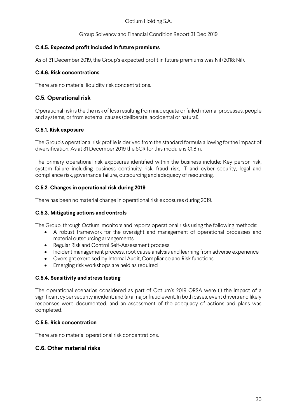## **C.4.5. Expected profit included in future premiums**

As of 31 December 2019, the Group's expected profit in future premiums was Nil (2018: Nil).

## **C.4.6. Risk concentrations**

There are no material liquidity risk concentrations.

# **C.5. Operational risk**

Operational risk is the the risk of loss resulting from inadequate or failed internal processes, people and systems, or from external causes (deliberate, accidental or natural).

## **C.5.1. Risk exposure**

The Group's operational risk profile is derived from the standard formula allowing for the impact of diversification. As at 31 December 2019 the SCR for this module is €1.8m.

The primary operational risk exposures identified within the business include: Key person risk, system failure including business continuity risk, fraud risk, IT and cyber security, legal and compliance risk, governance failure, outsourcing and adequacy of resourcing.

## **C.5.2. Changes in operational risk during 2019**

There has been no material change in operational risk exposures during 2019.

## **C.5.3. Mitigating actions and controls**

The Group, through Octium, monitors and reports operational risks using the following methods:

- A robust framework for the oversight and management of operational processes and material outsourcing arrangements
- Regular Risk and Control Self-Assessment process
- Incident management process, root cause analysis and learning from adverse experience
- Oversight exercised by Internal Audit, Compliance and Risk functions
- **•** Emerging risk workshops are held as required

## **C.5.4. Sensitivity and stress testing**

The operational scenarios considered as part of Octium's 2019 ORSA were (i) the impact of a significant cyber security incident; and (ii) a major fraud event. In both cases, event drivers and likely responses were documented, and an assessment of the adequacy of actions and plans was completed.

## **C.5.5. Risk concentration**

There are no material operational risk concentrations.

# **C.6. Other material risks**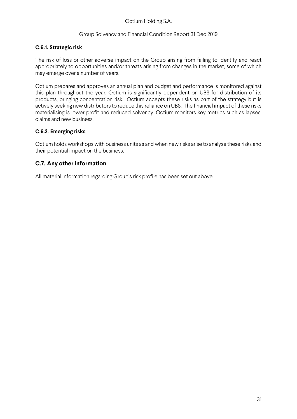#### Group Solvency and Financial Condition Report 31 Dec 2019

## **C.6.1. Strategic risk**

The risk of loss or other adverse impact on the Group arising from failing to identify and react appropriately to opportunities and/or threats arising from changes in the market, some of which may emerge over a number of years.

Octium prepares and approves an annual plan and budget and performance is monitored against this plan throughout the year. Octium is significantly dependent on UBS for distribution of its products, bringing concentration risk. Octium accepts these risks as part of the strategy but is actively seeking new distributors to reduce this reliance on UBS. The financial impact of these risks materialising is lower profit and reduced solvency. Octium monitors key metrics such as lapses, claims and new business.

## **C.6.2. Emerging risks**

Octium holds workshops with business units as and when new risks arise to analyse these risks and their potential impact on the business.

## **C.7. Any other information**

All material information regarding Group's risk profile has been set out above.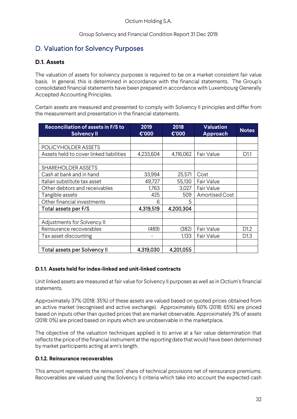# D. Valuation for Solvency Purposes

## **D.1. Assets**

The valuation of assets for solvency purposes is required to be on a market consistent fair value basis. In general, this is determined in accordance with the financial statements. The Group's consolidated financial statements have been prepared in accordance with Luxembourg Generally Accepted Accounting Principles.

Certain assets are measured and presented to comply with Solvency II principles and differ from the measurement and presentation in the financial statements.

| Reconciliation of assets in F/S to<br><b>Solvency II</b> | 2019<br>$\mathbf{C}$ '000 | 2018<br>€'000 | <b>Valuation</b><br>Approach | <b>Notes</b>     |
|----------------------------------------------------------|---------------------------|---------------|------------------------------|------------------|
|                                                          |                           |               |                              |                  |
| POLICYHOLDER ASSETS                                      |                           |               |                              |                  |
| Assets held to cover linked liabilities                  | 4,233,604                 | 4,116,062     | Fair Value                   | D <sub>1.1</sub> |
|                                                          |                           |               |                              |                  |
| <b>SHAREHOLDER ASSETS</b>                                |                           |               |                              |                  |
| Cash at bank and in hand                                 | 33,994                    | 25,571        | Cost                         |                  |
| Italian substitute tax asset                             | 49,727                    | 55,130        | Fair Value                   |                  |
| Other debtors and receivables                            | 1,763                     | 3,027         | Fair Value                   |                  |
| Tangible assets                                          | 425                       | 509           | <b>Amortised Cost</b>        |                  |
| Other financial investments                              | 6                         | 5             |                              |                  |
| Total assets per F/S                                     | 4,319,519                 | 4,200,304     |                              |                  |
|                                                          |                           |               |                              |                  |
| Adjustments for Solvency II:                             |                           |               |                              |                  |
| Reinsurance recoverables                                 | (489)                     | (382)         | Fair Value                   | D1.2             |
| Tax asset discounting                                    |                           | 1,133         | Fair Value                   | D1.3             |
|                                                          |                           |               |                              |                  |
| Total assets per Solvency II                             | 4,319,030                 | 4,201,055     |                              |                  |

## **D.1.1. Assets held for index-linked and unit-linked contracts**

Unit linked assets are measured at fair value for Solvency II purposes as well as in Octium's financial statements.

Approximately 37% (2018: 35%) of these assets are valued based on quoted prices obtained from an active market (recognised and active exchange). Approximately 60% (2018: 65%) are priced based on inputs other than quoted prices that are market observable. Approximately 3% of assets (2018: 0%) are priced based on inputs which are unobservable in the marketplace.

The objective of the valuation techniques applied is to arrive at a fair value determination that reflects the price of the financial instrument at the reporting date that would have been determined by market participants acting at arm's length.

## **D.1.2. Reinsurance recoverables**

This amount represents the reinsurers' share of technical provisions net of reinsurance premiums. Recoverables are valued using the Solvency II criteria which take into account the expected cash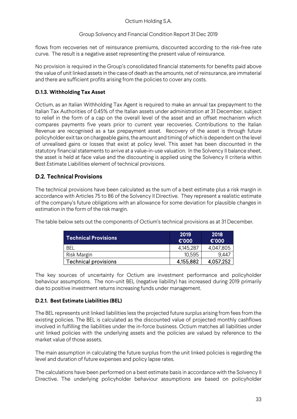Group Solvency and Financial Condition Report 31 Dec 2019

flows from recoveries net of reinsurance premiums, discounted according to the risk-free rate curve. The result is a negative asset representing the present value of reinsurance.

No provision is required in the Group's consolidated financial statements for benefits paid above the value of unit linked assets in the case of death as the amounts, net of reinsurance, are immaterial and there are sufficient profits arising from the policies to cover any costs.

## **D.1.3. Withholding Tax Asset**

Octium, as an Italian Withholding Tax Agent is required to make an annual tax prepayment to the Italian Tax Authorities of 0.45% of the Italian assets under administration at 31 December, subject to relief in the form of a cap on the overall level of the asset and an offset mechanism which compares payments five years prior to current year recoveries. Contributions to the Italian Revenue are recognised as a tax prepayment asset. Recovery of the asset is through future policyholder exit tax on chargeable gains, the amount and timing of which is dependent on the level of unrealised gains or losses that exist at policy level. This asset has been discounted in the statutory financial statements to arrive at a value-in-use valuation. In the Solvency II balance sheet, the asset is held at face value and the discounting is applied using the Solvency II criteria within Best Estimate Liabilities element of technical provisions.

# **D.2. Technical Provisions**

The technical provisions have been calculated as the sum of a best estimate plus a risk margin in accordance with Articles 75 to 86 of the Solvency II Directive. They represent a realistic estimate of the company's future obligations with an allowance for some deviation for plausible changes in estimation in the form of the risk margin.

The table below sets out the components of Octium's technical provisions as at 31 December.

| <b>Technical Provisions</b> | 2019<br>€'000 | 2018<br>€'000 |
|-----------------------------|---------------|---------------|
| BFI                         | 4,145,287     | 4,047,805     |
| Risk Margin                 | 10,595        | 9.447         |
| Technical provisions        | 4,155,882     | 4,057,252     |

The key sources of uncertainty for Octium are investment performance and policyholder behaviour assumptions. The non-unit BEL (negative liability) has increased during 2019 primarily due to positive investment returns increasing funds under management.

## **D.2.1. Best Estimate Liabilities (BEL)**

The BEL represents unit linked liabilities less the projected future surplus arising from fees from the existing policies. The BEL is calculated as the discounted value of projected monthly cashflows involved in fulfilling the liabilities under the in-force business. Octium matches all liabilities under unit linked policies with the underlying assets and the policies are valued by reference to the market value of those assets.

The main assumption in calculating the future surplus from the unit linked policies is regarding the level and duration of future expenses and policy lapse rates.

The calculations have been performed on a best estimate basis in accordance with the Solvency II Directive. The underlying policyholder behaviour assumptions are based on policyholder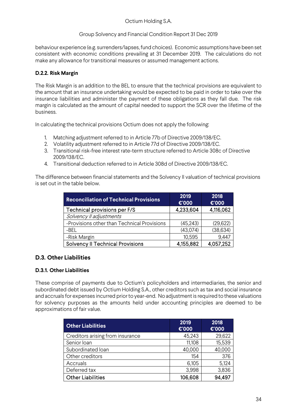## Group Solvency and Financial Condition Report 31 Dec 2019

behaviour experience (e.g. surrenders/lapses, fund choices). Economic assumptions have been set consistent with economic conditions prevailing at 31 December 2019. The calculations do not make any allowance for transitional measures or assumed management actions.

## **D.2.2. Risk Margin**

The Risk Margin is an addition to the BEL to ensure that the technical provisions are equivalent to the amount that an insurance undertaking would be expected to be paid in order to take over the insurance liabilities and administer the payment of these obligations as they fall due. The risk margin is calculated as the amount of capital needed to support the SCR over the lifetime of the business.

In calculating the technical provisions Octium does not apply the following:

- 1. Matching adjustment referred to in Article 77b of Directive 2009/138/EC.
- 2. Volatility adjustment referred to in Article 77d of Directive 2009/138/EC.
- 3. Transitional risk-free interest rate-term structure referred to Article 308c of Directive 2009/138/EC.
- 4. Transitional deduction referred to in Article 308d of Directive 2009/138/EC.

The difference between financial statements and the Solvency II valuation of technical provisions is set out in the table below.

| <b>Reconciliation of Technical Provisions</b> | 2019<br>€'000 | 2018<br>€'000 |
|-----------------------------------------------|---------------|---------------|
| Technical provisions per F/S                  | 4,233,604     | 4,116,062     |
| Solvency II adjustments                       |               |               |
| -Provisions other than Technical Provisions   | (45, 243)     | (29,622)      |
| -BEL                                          | (43,074)      | (38, 634)     |
| -Risk Margin                                  | 10,595        | 9,447         |
| <b>Solvency II Technical Provisions</b>       | 4,155,882     | 4,057,252     |

## **D.3. Other Liabilities**

## **D.3.1. Other Liabilities**

These comprise of payments due to Octium's policyholders and intermediaries, the senior and subordinated debt issued by Octium Holding S.A., other creditors such as tax and social insurance and accruals for expenses incurred prior to year-end. No adjustment is required to these valuations for solvency purposes as the amounts held under accounting principles are deemed to be approximations of fair value.

| <b>Other Liabilities</b>         | 2019<br>€'000 | 2018<br>€'000 |
|----------------------------------|---------------|---------------|
| Creditors arising from insurance | 45,243        | 29,622        |
| Senior Ioan                      | 11,108        | 15,539        |
| Subordinated loan                | 40,000        | 40,000        |
| Other creditors                  | 154           | 376           |
| Accruals                         | 6,105         | 5,124         |
| Deferred tax                     | 3,998         | 3,836         |
| <b>Other Liabilities</b>         | 106,608       | 94.497        |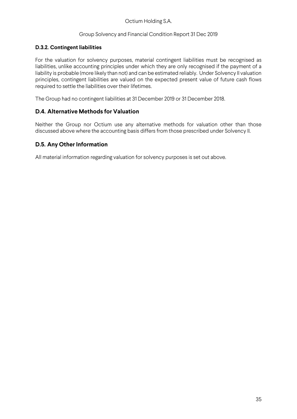## **D.3.2. Contingent liabilities**

For the valuation for solvency purposes, material contingent liabilities must be recognised as liabilities, unlike accounting principles under which they are only recognised if the payment of a liability is probable (more likely than not) and can be estimated reliably. Under Solvency II valuation principles, contingent liabilities are valued on the expected present value of future cash flows required to settle the liabilities over their lifetimes.

The Group had no contingent liabilities at 31 December 2019 or 31 December 2018.

## **D.4. Alternative Methods for Valuation**

Neither the Group nor Octium use any alternative methods for valuation other than those discussed above where the accounting basis differs from those prescribed under Solvency II.

## **D.5. Any Other Information**

All material information regarding valuation for solvency purposes is set out above.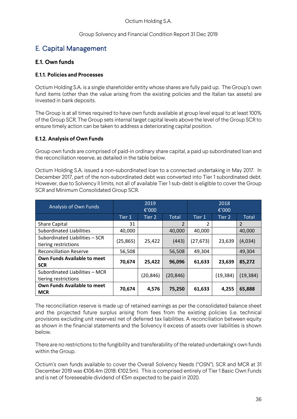## Group Solvency and Financial Condition Report 31 Dec 2019

# E. Capital Management

# **E.1. Own funds**

## **E.1.1. Policies and Processes**

Octium Holding S.A. is a single shareholder entity whose shares are fully paid up. The Group's own fund items (other than the value arising from the existing policies and the Italian tax assets) are invested in bank deposits.

The Group is at all times required to have own funds available at group level equal to at least 100% of the Group SCR. The Group sets internal target capital levels above the level of the Group SCR to ensure timely action can be taken to address a deteriorating capital position.

## **E.1.2. Analysis of Own Funds**

Group own funds are comprised of paid-in ordinary share capital, a paid up subordinated loan and the reconciliation reserve, as detailed in the table below.

Octium Holding S.A. issued a non-subordinated loan to a connected undertaking in May 2017. In December 2017, part of the non-subordinated debt was converted into Tier 1 subordinated debt. However, due to Solvency II limits, not all of available Tier 1 sub-debt is eligible to cover the Group SCR and Minimum Consolidated Group SCR.

| Analysis of Own Funds              |           | 2019      |                | 2018      |          |              |  |  |
|------------------------------------|-----------|-----------|----------------|-----------|----------|--------------|--|--|
|                                    |           | €'000     |                |           | €'000    |              |  |  |
|                                    | Tier 1    | Tier 2    | <b>Total</b>   | Tier 1    | Tier 2   | <b>Total</b> |  |  |
| <b>Share Capital</b>               | 31        |           | $\mathfrak{p}$ | 2         |          | 2            |  |  |
| <b>Subordinated Liabilities</b>    | 40,000    |           | 40,000         | 40,000    |          | 40,000       |  |  |
| Subordinated Liabilities - SCR     | (25, 865) |           | (443)          | (27, 673) | 23,639   | (4,034)      |  |  |
| tiering restrictions               |           | 25,422    |                |           |          |              |  |  |
| <b>Reconciliation Reserve</b>      | 56,508    |           | 56,508         | 49,304    |          | 49,304       |  |  |
| <b>Own Funds Available to meet</b> | 70,674    | 25,422    | 96,096         |           |          | 85,272       |  |  |
| <b>SCR</b>                         |           |           |                | 61,633    | 23,639   |              |  |  |
| Subordinated Liabilities - MCR     |           | (20, 846) |                |           |          |              |  |  |
| tiering restrictions               |           |           | (20, 846)      |           | (19,384) | (19,384)     |  |  |
| <b>Own Funds Available to meet</b> |           |           |                |           |          |              |  |  |
| <b>MCR</b>                         | 70,674    | 4,576     | 75,250         | 61,633    | 4,255    | 65,888       |  |  |

The reconciliation reserve is made up of retained earnings as per the consolidated balance sheet and the projected future surplus arising from fees from the existing policies (i.e. technical provisions excluding unit reserves) net of deferred tax liabilities. A reconciliation between equity as shown in the financial statements and the Solvency II excess of assets over liabilities is shown below.

There are no restrictions to the fungibility and transferability of the related undertaking's own funds within the Group.

Octium's own funds available to cover the Overall Solvency Needs ("OSN"), SCR and MCR at 31 December 2019 was €106.4m (2018: €102.5m). This is comprised entirely of Tier 1 Basic Own Funds and is net of foreseeable dividend of €5m expected to be paid in 2020.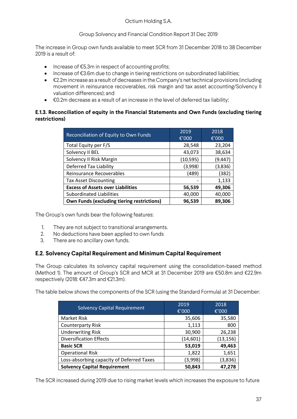The increase in Group own funds available to meet SCR from 31 December 2018 to 38 December 2019 is a result of:

- Increase of  $E5.3m$  in respect of accounting profits;
- Increase of €3.6m due to change in tiering restrictions on subordinated liabilities;
- €2.2m increase as a result of decreases in the Company's net technical provisions (including movement in reinsurance recoverables, risk margin and tax asset accounting/Solvency II valuation differences); and
- €0.2m decrease as a result of an increase in the level of deferred tax liability;

## **E.1.3. Reconciliation of equity in the Financial Statements and Own Funds (excluding tiering restrictions)**

|                                                   | 2019      | 2018     |  |  |
|---------------------------------------------------|-----------|----------|--|--|
| Reconciliation of Equity to Own Funds             | €'000     | € $'000$ |  |  |
| Total Equity per F/S                              | 28,548    | 23,204   |  |  |
| Solvency II BEL                                   | 43,073    | 38,634   |  |  |
| Solvency II Risk Margin                           | (10, 595) | (9,447)  |  |  |
| <b>Deferred Tax Liability</b>                     | (3,998)   | (3,836)  |  |  |
| Reinsurance Recoverables                          | (489)     | (382)    |  |  |
| <b>Tax Asset Discounting</b>                      |           | 1,133    |  |  |
| <b>Excess of Assets over Liabilities</b>          | 56,539    | 49,306   |  |  |
| Subordinated Liabilities                          | 40,000    | 40,000   |  |  |
| <b>Own Funds (excluding tiering restrictions)</b> | 96,539    | 89,306   |  |  |

The Group's own funds bear the following features:

- 1. They are not subject to transitional arrangements.
- 2. No deductions have been applied to own funds
- 3. There are no ancillary own funds.

## **E.2. Solvency Capital Requirement and Minimum Capital Requirement**

The Group calculates its solvency capital requirement using the consolidation-based method (Method 1). The amount of Group's SCR and MCR at 31 December 2019 are €50.8m and €22.9m respectively (2018: €47.3m and €21.3m).

The table below shows the components of the SCR (using the Standard Formula) at 31 December:

|                                           | 2019      | 2018      |  |  |
|-------------------------------------------|-----------|-----------|--|--|
| <b>Solvency Capital Requirement</b>       | €'000     | €'000     |  |  |
| Market Risk                               | 35,606    | 35,580    |  |  |
| <b>Counterparty Risk</b>                  | 1,113     | 800       |  |  |
| <b>Underwriting Risk</b>                  | 30,900    | 26,238    |  |  |
| <b>Diversification Effects</b>            | (14, 601) | (13, 156) |  |  |
| <b>Basic SCR</b>                          | 53,019    | 49,463    |  |  |
| <b>Operational Risk</b>                   | 1,822     | 1,651     |  |  |
| Loss-absorbing capacity of Deferred Taxes | (3,998)   | (3,836)   |  |  |
| <b>Solvency Capital Requirement</b>       | 50,843    | 47,278    |  |  |

The SCR increased during 2019 due to rising market levels which increases the exposure to future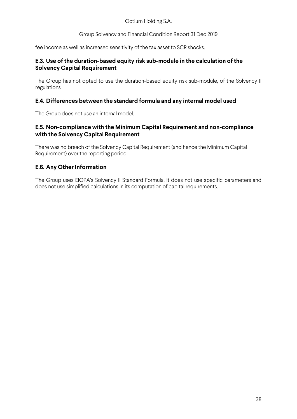Group Solvency and Financial Condition Report 31 Dec 2019

fee income as well as increased sensitivity of the tax asset to SCR shocks.

## **E.3. Use of the duration-based equity risk sub-module in the calculation of the Solvency Capital Requirement**

The Group has not opted to use the duration-based equity risk sub-module, of the Solvency II regulations

## **E.4. Differences between the standard formula and any internal model used**

The Group does not use an internal model.

## **E.5. Non-compliance with the Minimum Capital Requirement and non-compliance with the Solvency Capital Requirement**

There was no breach of the Solvency Capital Requirement (and hence the Minimum Capital Requirement) over the reporting period.

## **E.6. Any Other Information**

The Group uses EIOPA's Solvency II Standard Formula. It does not use specific parameters and does not use simplified calculations in its computation of capital requirements.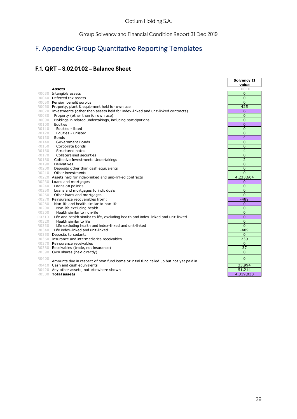# F. Appendix: Group Quantitative Reporting Templates

# **F.1. QRT – S.02.01.02 – Balance Sheet**

|       |                                                                                        | Solvency I.    |
|-------|----------------------------------------------------------------------------------------|----------------|
|       |                                                                                        | value          |
|       | <b>Assets</b>                                                                          | C <sub>0</sub> |
|       | R0030 Intangible assets                                                                | $\mathbf{0}$   |
|       | R0040 Deferred tax assets                                                              | $\overline{0}$ |
|       | R0050 Pension benefit surplus                                                          | $\overline{0}$ |
|       | R0060 Property, plant & equipment held for own use                                     | 425            |
|       | R0070 Investments (other than assets held for index-linked and unit-linked contracts)  | 6              |
| R0080 | Property (other than for own use)                                                      | $\mathbf{0}$   |
| R0090 | Holdings in related undertakings, including participations                             | $\overline{0}$ |
| R0100 | Equities                                                                               | $\overline{0}$ |
| R0110 | Equities - listed                                                                      | $\overline{0}$ |
| R0120 | Equities - unlisted                                                                    | $\Omega$       |
| R0130 | <b>Bonds</b>                                                                           | 4              |
| R0140 | Government Bonds                                                                       | $\overline{0}$ |
| R0150 | Corporate Bonds                                                                        | $\overline{0}$ |
| R0160 | Structured notes                                                                       | $\overline{4}$ |
| R0170 | Collateralised securities                                                              | $\overline{0}$ |
| R0180 | Collective Investments Undertakings                                                    | $\overline{2}$ |
| R0190 | Derivatives                                                                            | $\mathbf{0}$   |
| R0200 | Deposits other than cash equivalents                                                   | $\overline{0}$ |
| R0210 | Other investments                                                                      | $\overline{0}$ |
|       | R0220 Assets held for index-linked and unit-linked contracts                           | 4,233,604      |
|       | R0230 Loans and mortgages                                                              | $\mathbf 0$    |
|       | R0240 Loans on policies                                                                | $\overline{0}$ |
|       | R0250 Loans and mortgages to individuals                                               | $\overline{0}$ |
| R0260 | Other loans and mortgages                                                              | $\overline{0}$ |
|       | R0270 Reinsurance recoverables from:                                                   | $-489$         |
| R0280 | Non-life and health similar to non-life                                                | $\Omega$       |
| R0290 | Non-life excluding health                                                              | $\overline{0}$ |
| R0300 | Health similar to non-life                                                             | $\overline{0}$ |
| R0310 | Life and health similar to life, excluding health and index-linked and unit-linked     | $\mathbf{0}$   |
| R0320 | Health similar to life                                                                 | $\mathbf{0}$   |
| R0330 | Life excluding health and index-linked and unit-linked                                 | $\overline{0}$ |
| R0340 | Life index-linked and unit-linked                                                      | $-489$         |
|       | R0350 Deposits to cedants                                                              | $\Omega$       |
|       | R0360 Insurance and intermediaries receivables                                         | 239            |
|       | R0370 Reinsurance receivables                                                          | $\mathbf{0}$   |
|       | R0380 Receivables (trade, not insurance)                                               | 37             |
|       | R0390 Own shares (held directly)                                                       | $\mathbf{0}$   |
| R0400 |                                                                                        | $\overline{0}$ |
|       | Amounts due in respect of own fund items or initial fund called up but not yet paid in |                |
|       | R0410 Cash and cash equivalents                                                        | 33,994         |
|       | R0420 Any other assets, not elsewhere shown                                            | 51,214         |
|       | R0500 Total assets                                                                     | 4,319,030      |

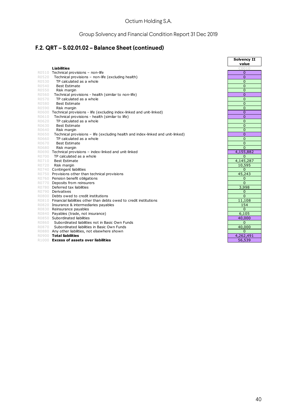# **F.2. QRT – S.02.01.02 – Balance Sheet (continued)**

|       |                                                                                 | <b>Solvency II</b><br>value |
|-------|---------------------------------------------------------------------------------|-----------------------------|
|       | <b>Liabilities</b>                                                              | C0010                       |
|       | R0510 Technical provisions - non-life                                           | $\mathbf{0}$                |
| R0520 | Technical provisions - non-life (excluding health)                              | $\mathbf{0}$                |
| R0530 | TP calculated as a whole                                                        | $\overline{0}$              |
| R0540 | <b>Best Estimate</b>                                                            | $\Omega$                    |
| R0550 | Risk margin                                                                     | $\mathbf 0$                 |
| R0560 | Technical provisions - health (similar to non-life)                             | $\mathbf{0}$                |
| R0570 | TP calculated as a whole                                                        | $\overline{0}$              |
| R0580 | <b>Best Estimate</b>                                                            | $\overline{0}$              |
| R0590 | Risk margin                                                                     | $\overline{0}$              |
|       | R0600 Technical provisions - life (excluding index-linked and unit-linked)      | $\overline{0}$              |
| R0610 | Technical provisions - health (similar to life)                                 | $\overline{0}$              |
| R0620 | TP calculated as a whole                                                        | $\overline{0}$              |
| R0630 | <b>Best Estimate</b>                                                            | $\overline{0}$              |
| R0640 | Risk margin                                                                     | $\Omega$                    |
| R0650 | Technical provisions – life (excluding health and index-linked and unit-linked) | $\mathbf{0}$                |
| R0660 | TP calculated as a whole                                                        | $\overline{0}$              |
| R0670 | <b>Best Estimate</b>                                                            | $\overline{0}$              |
| R0680 | Risk margin                                                                     | $\Omega$                    |
|       | R0690 Technical provisions - index-linked and unit-linked                       | 4,155,882                   |
| R0700 | TP calculated as a whole                                                        | $\mathbf 0$                 |
| R0710 | <b>Best Estimate</b>                                                            | 4,145,287                   |
| R0720 | Risk margin                                                                     | 10,595                      |
|       | R0740 Contingent liabilities                                                    | $\Omega$                    |
|       | R0750 Provisions other than technical provisions                                | 45,243                      |
|       | R0760 Pension benefit obligations                                               | $\mathbf{0}$                |
|       | R0770 Deposits from reinsurers                                                  | $\Omega$                    |
|       | R0780 Deferred tax liabilities                                                  | 3,998                       |
|       | R0790 Derivatives                                                               | $\mathbf{0}$                |
|       | R0800 Debts owed to credit institutions                                         | $\Omega$                    |
|       | R0810 Financial liabilities other than debts owed to credit institutions        | 11,108                      |
|       | R0820 Insurance & intermediaries payables                                       | 154                         |
|       | R0830 Reinsurance payables                                                      | $\Omega$                    |
|       | R0840 Payables (trade, not insurance)                                           | 6,105                       |
|       | R0850 Subordinated liabilities                                                  | 40,000                      |
| R0860 | Subordinated liabilities not in Basic Own Funds                                 | $\Omega$                    |
| R0870 | Subordinated liabilities in Basic Own Funds                                     | 40,000                      |
|       | R0880 Any other liabilities, not elsewhere shown                                | $\Omega$                    |
|       | R0900 Total liabilities                                                         | 4,262,491                   |
|       | R1000 <b>Excess of assets over liabilities</b>                                  | 56,539                      |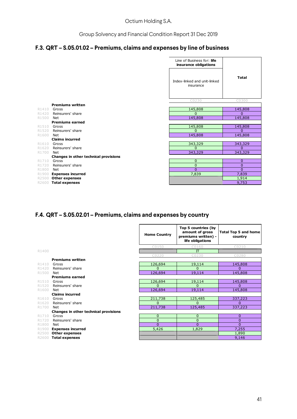# **F.3. QRT – S.05.01.02 – Premiums, claims and expenses by line of business**

|       |                                       | Line of Business for: life<br>insurance obligations |                |
|-------|---------------------------------------|-----------------------------------------------------|----------------|
|       |                                       | Index-linked and unit-linked<br>insurance           | <b>Total</b>   |
|       |                                       | C0230                                               | C0300          |
|       | <b>Premiums written</b>               |                                                     |                |
| R1410 | Gross                                 | 145,808                                             | 145,808        |
| R1420 | Reinsurers' share                     | $\Omega$                                            | $\Omega$       |
| R1500 | Net<br><b>Premiums earned</b>         | 145,808                                             | 145,808        |
| R1510 | Gross                                 | 145,808                                             | 145,808        |
| R1520 | Reinsurers' share                     | $\Omega$                                            | $\Omega$       |
| R1600 | Net                                   | 145,808                                             | 145,808        |
|       | <b>Claims incurred</b>                |                                                     |                |
| R1610 | Gross                                 | 343,329                                             | 343,329        |
| R1620 | Reinsurers' share                     | $\Omega$                                            | $\Omega$       |
| R1700 | Net                                   | 343,329                                             | 343,329        |
|       | Changes in other technical provisions |                                                     |                |
| R1710 | Gross                                 | $\mathbf{0}$                                        | 0              |
| R1720 | Reinsurers' share                     | $\mathbf{0}$                                        | $\overline{0}$ |
| R1800 | Net                                   | $\Omega$                                            | $\Omega$       |
| R1900 | <b>Expenses incurred</b>              | 7,839                                               | 7,839          |
| R2500 | <b>Other expenses</b>                 |                                                     | 1,914          |
| R2600 | <b>Total expenses</b>                 |                                                     | 9,753          |

## **F.4. QRT – S.05.02.01 – Premiums, claims and expenses by country**

|       |                                       | <b>Home Country</b> | Top 5 countries (by<br>amount of gross<br>premiums written) -<br>life obligations | <b>Total Top 5 and home</b><br>country |
|-------|---------------------------------------|---------------------|-----------------------------------------------------------------------------------|----------------------------------------|
|       |                                       | C0150               | C0160                                                                             | C0210                                  |
| R1400 |                                       |                     | $\Pi$                                                                             |                                        |
|       |                                       | C0220               | C0230                                                                             | C0280                                  |
|       | <b>Premiums written</b>               |                     |                                                                                   |                                        |
| R1410 | Gross                                 | 126,694             | 19,114                                                                            | 145,808                                |
| R1420 | Reinsurers' share                     | $\Omega$            | $\Omega$                                                                          | $\Omega$                               |
| R1500 | Net                                   | 126,694             | 19,114                                                                            | 145,808                                |
|       | <b>Premiums earned</b>                |                     |                                                                                   |                                        |
| R1510 | Gross                                 | 126,694             | 19,114                                                                            | 145,808                                |
| R1520 | Reinsurers' share                     | $\Omega$            | $\Omega$                                                                          | $\Omega$                               |
| R1600 | Net                                   | 126,694             | 19,114                                                                            | 145,808                                |
|       | <b>Claims incurred</b>                |                     |                                                                                   |                                        |
| R1610 | Gross                                 | 211,738             | 125,485                                                                           | 337,223                                |
| R1620 | Reinsurers' share                     | $\Omega$            | $\Omega$                                                                          | $\Omega$                               |
| R1700 | Net                                   | 211,738             | 125,485                                                                           | 337,223                                |
|       | Changes in other technical provisions |                     |                                                                                   |                                        |
| R1710 | Gross                                 | $\mathbf{0}$        | $\overline{0}$                                                                    | $\overline{0}$                         |
| R1720 | Reinsurers' share                     | $\mathbf{0}$        | $\overline{0}$                                                                    | $\mathbf 0$                            |
| R1800 | Net                                   | $\Omega$            | $\Omega$                                                                          | $\Omega$                               |
| R1900 | <b>Expenses incurred</b>              | 5,426               | 1,829                                                                             | 7,255                                  |
| R2500 | <b>Other expenses</b>                 |                     |                                                                                   | 1,890                                  |
| R2600 | <b>Total expenses</b>                 |                     |                                                                                   | 9,146                                  |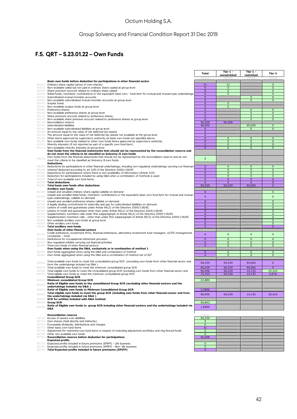# **F.5. QRT – S.23.01.22 – Own Funds**

|                |                                                                                                                                                                                                                | Total                          | Tier 1 -<br>unrestricted    | Tier 1 -<br>restricted           | Tier 2                       |
|----------------|----------------------------------------------------------------------------------------------------------------------------------------------------------------------------------------------------------------|--------------------------------|-----------------------------|----------------------------------|------------------------------|
|                |                                                                                                                                                                                                                | COO1                           |                             | C0030                            |                              |
|                | Basic own funds before deduction for participations in other financial sector<br>R0010 Ordinary share capital (gross of own shares)                                                                            | 31                             | 31                          |                                  | $\mathbf 0$                  |
|                | R0020 Non-available called but not paid in ordinary share capital at group level                                                                                                                               | $\mathbf{0}$                   | $\mathbf 0$                 |                                  | $\mathbf 0$                  |
| R0030          | Share premium account related to ordinary share capital<br>R0040 Iinitial funds, members' contributions or the equivalent basic own - fund item for mutual and mutual-type undertakings                        | $\mathbf{0}$<br>$\mathbf{0}$   | $\mathbf 0$<br>$\mathbf 0$  |                                  | $\mathbf{0}$<br>$\mathbf{0}$ |
|                | R0050 Subordinated mutual member accounts                                                                                                                                                                      | $\bf{0}$                       |                             | $\overline{0}$                   | $\mathbf{0}$                 |
|                | R0060 Non-available subordinated mutual member accounts at group level<br>R0070 Surplus funds                                                                                                                  | $\mathbf 0$<br>$\mathbf 0$     | $\mathbf{0}$                | $\mathbf 0$                      | $\mathbf{0}$                 |
|                | R0080 Non-available surplus funds at group level                                                                                                                                                               | $\mathbf{0}$                   | $\mathbf 0$                 |                                  |                              |
|                | R0090 Preference shares<br>R0100 Non-available preference shares at group level                                                                                                                                | $\mathbf 0$<br>$\mathbf 0$     |                             | $\overline{0}$<br>$\overline{0}$ | $\mathbf{0}$<br>$\mathbf 0$  |
|                | R0110 Share premium account related to preference shares                                                                                                                                                       | $\mathbf{0}$                   |                             | $\mathbf 0$                      | $\mathbf 0$                  |
|                | R0120 Non-available share premium account related to preference shares at group level<br>R0130 Reconciliation reserve                                                                                          | $\mathbf{0}$<br>56,508         | 56,508                      | $\mathbf 0$                      | $\mathbf 0$                  |
|                | R0140 Subordinated liabilities                                                                                                                                                                                 | 40,000                         |                             | 40,000                           | $\mathbf{0}$                 |
|                | R0150 Non-available subordinated liabilities at group level<br>R0160 An amount equal to the value of net deferred tax assets                                                                                   | $\mathbf{0}$<br>$\mathbf{0}$   |                             | $\mathbf{0}$                     | $\mathbf{0}$                 |
|                | R0170 The amount equal to the value of net deferred tax assets not available at the group level                                                                                                                | $\mathbf{0}$                   |                             |                                  |                              |
|                | R0180 Other items approved by supervisory authority as basic own funds not specified above<br>R0190 Non available own funds related to other own funds items approved by supervisory authority                 | $\mathbf{0}$<br>$\mathbf{0}$   | $\mathbf{0}$<br>$\mathbf 0$ | $\overline{0}$<br>$\mathbf 0$    | $\mathbf{0}$<br>$\mathbf 0$  |
|                | R0200 Minority interests (if not reported as part of a specific own fund item)                                                                                                                                 | $\mathbf{0}$                   | $\mathbf 0$                 | 0                                | $\mathbf 0$                  |
|                | R0210 Non-available minority interests at group level<br>Own funds from the financial statements that should not be represented by the reconciliation reserve and                                              | $\mathbf{0}$                   | $\mathbf{0}$                | $\mathbf 0$                      | $\mathbf 0$                  |
|                | do not meet the criteria to be classified as Solvency II own funds<br>Own funds from the financial statements that should not be represented by the reconciliation reserve and do not                          |                                |                             |                                  |                              |
| R0220          | meet the criteria to be classified as Solvency II own funds<br><b>Deductions</b>                                                                                                                               | $\mathbf 0$                    |                             |                                  |                              |
|                | R0230 Deductions for participations in other financial undertakings, including non-regulated undertakings carrying out financial (                                                                             | $\mathbf 0$                    | $\mathbf 0$                 | $\pmb{0}$                        | $\mathbf 0$                  |
|                | R0240 whereof deducted according to art 228 of the Directive 2009/138/EC<br>R0250 Deductions for participations where there is non-availability of information (Article 229)                                   | $\mathbf 0$<br>$\mathbf{0}$    | $\mathbf 0$<br>$\mathbf 0$  | $\mathbf 0$<br>$\mathbf 0$       | $\mathbf 0$<br>$\mathbf{0}$  |
|                | R0260 Deduction for participations included by using D&A when a combination of methods is used                                                                                                                 | $\mathbf{0}$                   | $\mathbf 0$                 | $\mathbf 0$                      | $\mathbf{0}$                 |
|                | R0270 Total of non-available own fund items<br>R0280 Total deductions                                                                                                                                          | $\mathbf 0$<br>$\mathbf 0$     | $\mathbf 0$<br>$\mathbf{0}$ | $\pmb{0}$<br>$\bf{0}$            | $\mathbf{0}$<br>$\mathbf{0}$ |
|                | R0290 Total basic own funds after deductions                                                                                                                                                                   | 96,539                         | 56,539                      | 40,000                           | $\mathbf{0}$                 |
|                | Ancillary own funds                                                                                                                                                                                            | $\mathbf 0$                    |                             |                                  | $\mathbf{0}$                 |
| R0310          | R0300 Unpaid and uncalled ordinary share capital callable on demand<br>Unpaid and uncalled initial funds, members' contributions or the equivalent basic own fund item for mutual and mutual                   | $\mathbf 0$                    |                             |                                  | $\mathbf 0$                  |
|                | type undertakings, callable on demand<br>R0320 Unpaid and uncalled preference shares callable on demand                                                                                                        | $\mathbf 0$                    |                             |                                  | $\mathbf{0}$                 |
|                | R0330 A legally binding commitment to subscribe and pay for subordinated liabilities on demand                                                                                                                 | $\mathbf{0}$                   |                             |                                  | $\mathbf{0}$                 |
|                | R0340 Letters of credit and guarantees under Article 96(2) of the Directive 2009/138/EC                                                                                                                        | $\mathbf{0}$<br>$\mathbf{0}$   |                             |                                  | $\mathbf 0$<br>$\mathbf{0}$  |
|                | R0350 Letters of credit and guarantees other than under Article 96(2) of the Directive 2009/138/EC<br>R0360 Supplementary members calls under first subparagraph of Article 96(3) of the Directive 2009/138/EC | $\mathbf{0}$                   |                             |                                  | $\mathbf{0}$                 |
|                | R0370 Supplementary members calls - other than under first subparagraph of Article 96(3) of the Directive 2009/138/EC<br>R0380 Non available ancillary own funds at group level                                | $\overline{0}$<br>$\mathbf{0}$ |                             |                                  | $\mathbf 0$<br>$\mathbf{0}$  |
|                | R0390 Other ancillary own funds                                                                                                                                                                                | $\mathbf 0$                    |                             |                                  | $\mathbf 0$                  |
|                | R0400 Total ancillary own funds<br>Own funds of other financial sectors                                                                                                                                        | $\mathbf{0}$                   |                             |                                  | $\mathbf{0}$                 |
| R0410          | Credit institutions, investment firms, financial institutions, alternative investment fund managers, UCITS management                                                                                          | $\mathbf{0}$                   | $\mathbf{0}$                | $\pmb{0}$                        | $\mathbf{0}$                 |
|                | companies - total<br>R0420 Institutions for occupational retirement provision                                                                                                                                  | $\mathbf{0}$                   | $\mathbf{0}$                | $\mathbf{0}$                     | $\mathbf{0}$                 |
|                | R0430 Non regulated entities carrying out financial activities                                                                                                                                                 | $\mathbf{0}$                   | $\mathbf{0}$                | $\mathbf{0}$                     | $\mathbf{0}$                 |
|                | R0440 Total own funds of other financial sectors<br>Own funds when using the D&A, exclusively or in combination of method 1                                                                                    | $\mathbf{0}$                   | $\mathbf{0}$                | $\mathbf{0}$                     | $\mathbf{0}$                 |
|                | R0450 Own funds aggregated when using the D&A and combination of method                                                                                                                                        | $\mathbf{0}$                   | $\mathbf 0$                 | $\bf{0}$                         | $\mathbf 0$                  |
|                | R0460 Own funds aggregated when using the D&A and a combination of method net of IGT                                                                                                                           | $\mathbf{0}$                   | $\mathbf{0}$                | $\mathbf 0$                      | $\mathbf{0}$                 |
| R0520          | Total available own funds to meet the consolidated group SCR (excluding own funds from other financial sector and<br>from the undertakings included via D&A)                                                   | 96,539                         | 56,539                      | 40,000                           | $\mathbf{0}$                 |
|                | R0530 Total available own funds to meet the minimum consolidated group SCR                                                                                                                                     | 96,539                         | 56,539                      | 40,000                           | $\mathbf{0}$                 |
|                | R0560 Total eligible own funds to meet the consolidated group SCR (excluding own funds from other financial sector and<br>R0570 Total eligible own funds to meet the minimum consolidated group SCR            | 96,096<br>75,250               | 56,539<br>56,539            | 14,135<br>14,135                 | 25,422<br>4,576              |
|                | <b>Consolidated Group SCR</b>                                                                                                                                                                                  |                                |                             |                                  |                              |
|                | R0610 Minimum consolidated Group SCR<br>Ratio of Eligible own funds to the consolidated Group SCR (excluding other financial sectors and the                                                                   | 22,880                         |                             |                                  |                              |
| R0630          | undertakings included via D&A)                                                                                                                                                                                 |                                |                             |                                  |                              |
| R0650          | Ratio of Eligible own funds to Minimum Consolidated Group SCR<br>Total eligible own funds to meet the group SCR (including own funds from other financial sector and from                                      | 3.2890<br>96,096               |                             |                                  |                              |
| R0660<br>R0670 | the undertakings included via D&A)<br>SCR for entities included with D&A method                                                                                                                                |                                | 56,539                      | 14,135                           | 25,422                       |
| R0680          | <b>Group SCR</b>                                                                                                                                                                                               | 50,843                         |                             |                                  |                              |
| R0690          | Ratio of Eligible own funds to group SCR including other financial sectors and the undertakings included via<br>D&A                                                                                            | 1.8900                         |                             |                                  |                              |
|                | <b>Reconciliation reserve</b>                                                                                                                                                                                  | C0060                          |                             |                                  |                              |
|                | R0700 Excess of assets over liabilities<br>R0710 Own shares (held directly and indirectly)                                                                                                                     | 56,539<br>0                    |                             |                                  |                              |
|                | R0720 Forseeable dividends, distributions and charges                                                                                                                                                          | $\mathbf 0$                    |                             |                                  |                              |
|                | R0730 Other basic own fund items<br>R0740 Adjustment for restricted own fund items in respect of matching adjustment portfolios and ring fenced funds                                                          | 31<br>$\pmb{0}$                |                             |                                  |                              |
|                | R0750 Other non available own funds                                                                                                                                                                            | $\mathbf 0$                    |                             |                                  |                              |
|                | R0760 Reconciliation reserve before deduction for participations<br><b>Expected profits</b>                                                                                                                    | 56,508                         |                             |                                  |                              |
|                | R0770 Expected profits included in future premiums (EPIFP) - Life business                                                                                                                                     | $\mathbf 0$                    |                             |                                  |                              |
|                | R0780 Expected profits included in future premiums (EPIFP) - Non- life business<br>R0790 Total Expected profits included in future premiums (EPIFP)                                                            | $\mathbf 0$<br>$\mathbf 0$     |                             |                                  |                              |

- -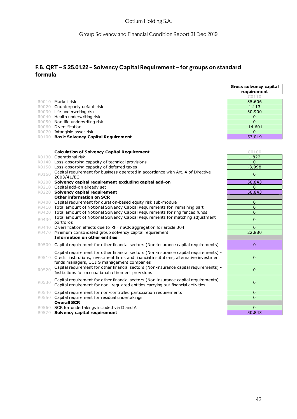# **F.6. QRT – S.25.01.22 – Solvency Capital Requirement – for groups on standard formula**

|       |                                                                                              | C0110          |
|-------|----------------------------------------------------------------------------------------------|----------------|
|       | R0010 Market risk                                                                            | 35,606         |
|       | R0020 Counterparty default risk                                                              | 1,113          |
|       | R0030 Life underwriting risk                                                                 | 30,900         |
|       | R0040 Health underwriting risk                                                               | 0              |
|       | R0050 Non-life underwriting risk                                                             | $\mathbf{0}$   |
|       | R0060 Diversification                                                                        | $-14,601$      |
|       | R0070 Intangible asset risk                                                                  | $\Omega$       |
|       | R0100 Basic Solvency Capital Requirement                                                     | 53,019         |
|       |                                                                                              |                |
|       |                                                                                              |                |
|       | <b>Calculation of Solvency Capital Requirement</b>                                           | C0100          |
|       | R0130 Operational risk                                                                       | 1,822          |
|       | R0140 Loss-absorbing capacity of technical provisions                                        | 0              |
|       | R0150 Loss-absorbing capacity of deferred taxes                                              | $-3,998$       |
| R0160 | Capital requirement for business operated in accordance with Art. 4 of Directive             | $\mathbf 0$    |
|       | 2003/41/EC                                                                                   |                |
|       | R0200 Solvency capital requirement excluding capital add-on                                  | 50,843         |
|       | R0210 Capital add-on already set                                                             | 0              |
|       | R0220 Solvency capital requirement                                                           | 50,843         |
|       | <b>Other information on SCR</b>                                                              |                |
|       | R0400 Capital requirement for duration-based equity risk sub-module                          | $\mathbf 0$    |
|       | R0410 Total amount of Notional Solvency Capital Requirements for remaining part              | $\overline{0}$ |
|       | R0420 Total amount of Notional Solvency Capital Requirements for ring fenced funds           | $\overline{0}$ |
| R0430 | Total amount of Notional Solvency Capital Requirements for matching adjustment<br>portfolios | $\mathbf 0$    |
| R0440 | Diversification effects due to RFF nSCR aggregation for article 304                          | $\overline{0}$ |
|       | R0470 Minimum consolidated group solvency capital requirement                                | 22,880         |
|       | <b>Information on other entities</b>                                                         |                |
|       |                                                                                              |                |
| R0500 | Capital requirement for other financial sectors (Non-insurance capital requirements)         | $\overline{0}$ |
|       | Capital requirement for other financial sectors (Non-insurance capital requirements) -       |                |
| R0510 | Credit institutions, investment firms and financial institutions, alternative investment     | 0              |
|       | funds managers, UCITS management companies                                                   |                |
| R0520 | Capital requirement for other financial sectors (Non-insurance capital requirements) -       | $\mathbf{0}$   |
|       | Institutions for occupational retirement provisions                                          |                |
|       | Capital requirement for other financial sectors (Non-insurance capital requirements) -       |                |
| R0530 | Capital requirement for non- regulated entities carrying out financial activities            | $\mathbf 0$    |
|       |                                                                                              |                |
|       | R0540 Capital requirement for non-controlled participation requirements                      | $\mathbf 0$    |
|       | R0550 Capital requirement for residual undertakings                                          | $\Omega$       |
|       | <b>Overall SCR</b>                                                                           |                |
|       | R0560 SCR for undertakings included via D and A                                              | 0              |
| R0570 | Solvency capital requirement                                                                 | 50,843         |

**Gross solvency capital requirement**